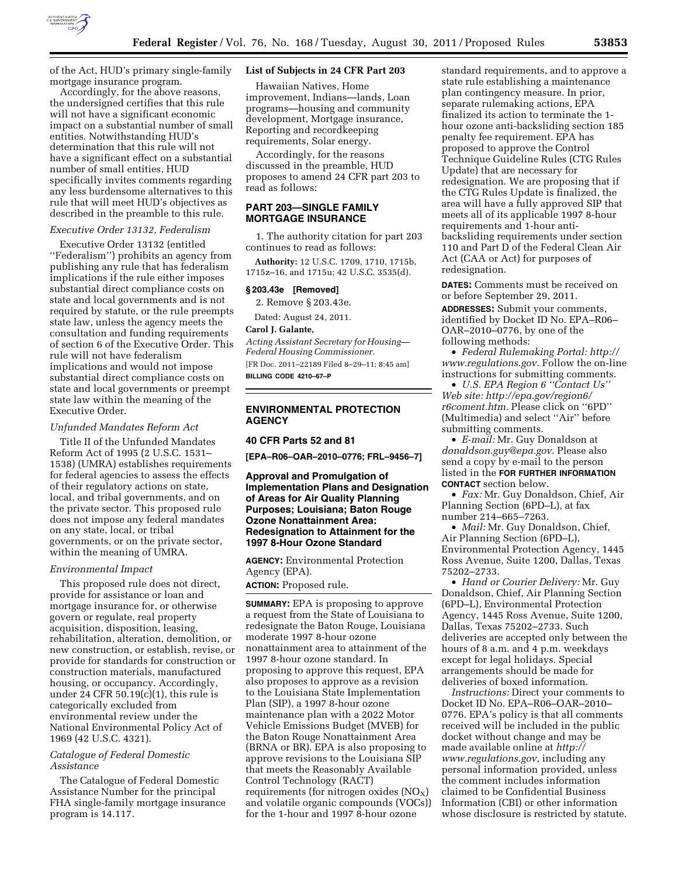

of the Act, HUD's primary single-family mortgage insurance program.

Accordingly, for the above reasons, the undersigned certifies that this rule will not have a significant economic impact on a substantial number of small entities. Notwithstanding HUD's determination that this rule will not have a significant effect on a substantial number of small entities, HUD specifically invites comments regarding any less burdensome alternatives to this rule that will meet HUD's objectives as described in the preamble to this rule.

#### *Executive Order 13132, Federalism*

Executive Order 13132 (entitled ''Federalism'') prohibits an agency from publishing any rule that has federalism implications if the rule either imposes substantial direct compliance costs on state and local governments and is not required by statute, or the rule preempts state law, unless the agency meets the consultation and funding requirements of section 6 of the Executive Order. This rule will not have federalism implications and would not impose substantial direct compliance costs on state and local governments or preempt state law within the meaning of the Executive Order.

#### *Unfunded Mandates Reform Act*

Title II of the Unfunded Mandates Reform Act of 1995 (2 U.S.C. 1531– 1538) (UMRA) establishes requirements for federal agencies to assess the effects of their regulatory actions on state, local, and tribal governments, and on the private sector. This proposed rule does not impose any federal mandates on any state, local, or tribal governments, or on the private sector, within the meaning of UMRA.

#### *Environmental Impact*

This proposed rule does not direct, provide for assistance or loan and mortgage insurance for, or otherwise govern or regulate, real property acquisition, disposition, leasing, rehabilitation, alteration, demolition, or new construction, or establish, revise, or provide for standards for construction or construction materials, manufactured housing, or occupancy. Accordingly, under 24 CFR  $50.19(c)(1)$ , this rule is categorically excluded from environmental review under the National Environmental Policy Act of 1969 (42 U.S.C. 4321).

## *Catalogue of Federal Domestic Assistance*

The Catalogue of Federal Domestic Assistance Number for the principal FHA single-family mortgage insurance program is 14.117.

#### **List of Subjects in 24 CFR Part 203**

Hawaiian Natives, Home improvement, Indians—lands, Loan programs—housing and community development, Mortgage insurance, Reporting and recordkeeping requirements, Solar energy.

Accordingly, for the reasons discussed in the preamble, HUD proposes to amend 24 CFR part 203 to read as follows:

# **PART 203—SINGLE FAMILY MORTGAGE INSURANCE**

1. The authority citation for part 203 continues to read as follows:

**Authority:** 12 U.S.C. 1709, 1710, 1715b, 1715z–16, and 1715u; 42 U.S.C. 3535(d).

#### **§ 203.43e [Removed]**

2. Remove § 203.43e.

Dated: August 24, 2011.

#### **Carol J. Galante,**

*Acting Assistant Secretary for Housing— Federal Housing Commissioner.*  [FR Doc. 2011–22189 Filed 8–29–11; 8:45 am]

**BILLING CODE 4210–67–P** 

# **ENVIRONMENTAL PROTECTION AGENCY**

#### **40 CFR Parts 52 and 81**

**[EPA–R06–OAR–2010–0776; FRL–9456–7]** 

## **Approval and Promulgation of Implementation Plans and Designation of Areas for Air Quality Planning Purposes; Louisiana; Baton Rouge Ozone Nonattainment Area: Redesignation to Attainment for the 1997 8-Hour Ozone Standard**

**AGENCY:** Environmental Protection Agency (EPA).

# **ACTION:** Proposed rule.

**SUMMARY:** EPA is proposing to approve a request from the State of Louisiana to redesignate the Baton Rouge, Louisiana moderate 1997 8-hour ozone nonattainment area to attainment of the 1997 8-hour ozone standard. In proposing to approve this request, EPA also proposes to approve as a revision to the Louisiana State Implementation Plan (SIP), a 1997 8-hour ozone maintenance plan with a 2022 Motor Vehicle Emissions Budget (MVEB) for the Baton Rouge Nonattainment Area (BRNA or BR). EPA is also proposing to approve revisions to the Louisiana SIP that meets the Reasonably Available Control Technology (RACT) requirements (for nitrogen oxides  $(NO<sub>X</sub>)$ and volatile organic compounds (VOCs)) for the 1-hour and 1997 8-hour ozone

standard requirements, and to approve a state rule establishing a maintenance plan contingency measure. In prior, separate rulemaking actions, EPA finalized its action to terminate the 1 hour ozone anti-backsliding section 185 penalty fee requirement. EPA has proposed to approve the Control Technique Guideline Rules (CTG Rules Update) that are necessary for redesignation. We are proposing that if the CTG Rules Update is finalized, the area will have a fully approved SIP that meets all of its applicable 1997 8-hour requirements and 1-hour antibacksliding requirements under section 110 and Part D of the Federal Clean Air Act (CAA or Act) for purposes of redesignation.

**DATES:** Comments must be received on or before September 29, 2011. **ADDRESSES:** Submit your comments, identified by Docket ID No. EPA–R06– OAR–2010–0776, by one of the following methods:

• *Federal Rulemaking Portal: [http://](http://www.regulations.gov) [www.regulations.gov.](http://www.regulations.gov)* Follow the on-line instructions for submitting comments.

• *U.S. EPA Region 6 ''Contact Us'' Web site: [http://epa.gov/region6/](http://epa.gov/region6/r6coment.htm)  [r6coment.htm.](http://epa.gov/region6/r6coment.htm)* Please click on ''6PD'' (Multimedia) and select ''Air'' before submitting comments.

• *E-mail:* Mr. Guy Donaldson at *[donaldson.guy@epa.gov.](mailto:donaldson.guy@epa.gov)* Please also send a copy by e-mail to the person listed in the **FOR FURTHER INFORMATION CONTACT** section below.

• *Fax:* Mr. Guy Donaldson, Chief, Air Planning Section (6PD–L), at fax number 214–665–7263.

• *Mail:* Mr. Guy Donaldson, Chief, Air Planning Section (6PD–L), Environmental Protection Agency, 1445 Ross Avenue, Suite 1200, Dallas, Texas 75202–2733.

• *Hand or Courier Delivery:* Mr. Guy Donaldson, Chief, Air Planning Section (6PD–L), Environmental Protection Agency, 1445 Ross Avenue, Suite 1200, Dallas, Texas 75202–2733. Such deliveries are accepted only between the hours of 8 a.m. and 4 p.m. weekdays except for legal holidays. Special arrangements should be made for deliveries of boxed information.

*Instructions:* Direct your comments to Docket ID No. EPA–R06–OAR–2010– 0776. EPA's policy is that all comments received will be included in the public docket without change and may be made available online at *[http://](http://www.regulations.gov)  [www.regulations.gov,](http://www.regulations.gov)* including any personal information provided, unless the comment includes information claimed to be Confidential Business Information (CBI) or other information whose disclosure is restricted by statute.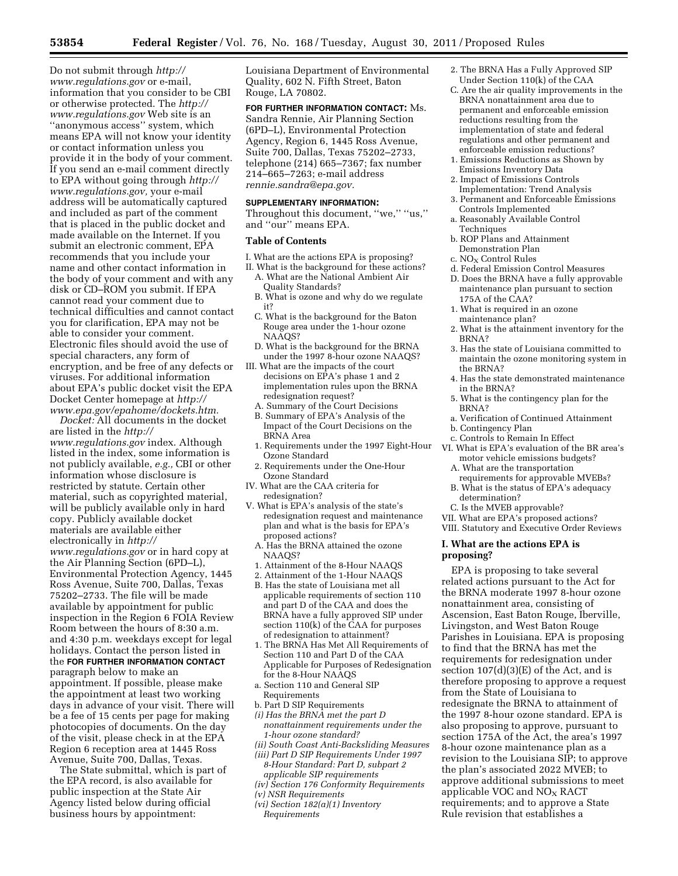Do not submit through *[http://](http://www.regulations.gov) [www.regulations.gov](http://www.regulations.gov)* or e-mail, information that you consider to be CBI or otherwise protected. The *[http://](http://www.regulations.gov)  [www.regulations.gov](http://www.regulations.gov)* Web site is an ''anonymous access'' system, which means EPA will not know your identity or contact information unless you provide it in the body of your comment. If you send an e-mail comment directly to EPA without going through *[http://](http://www.regulations.gov) [www.regulations.gov,](http://www.regulations.gov)* your e-mail address will be automatically captured and included as part of the comment that is placed in the public docket and made available on the Internet. If you submit an electronic comment, EPA recommends that you include your name and other contact information in the body of your comment and with any disk or CD–ROM you submit. If EPA cannot read your comment due to technical difficulties and cannot contact you for clarification, EPA may not be able to consider your comment. Electronic files should avoid the use of special characters, any form of encryption, and be free of any defects or viruses. For additional information about EPA's public docket visit the EPA Docket Center homepage at *[http://](http://www.epa.gov/epahome/dockets.htm) [www.epa.gov/epahome/dockets.htm.](http://www.epa.gov/epahome/dockets.htm)* 

*Docket:* All documents in the docket are listed in the *[http://](http://www.regulations.gov) [www.regulations.gov](http://www.regulations.gov)* index. Although listed in the index, some information is not publicly available, *e.g.,* CBI or other information whose disclosure is restricted by statute. Certain other material, such as copyrighted material, will be publicly available only in hard copy. Publicly available docket materials are available either electronically in *[http://](http://www.regulations.gov) [www.regulations.gov](http://www.regulations.gov)* or in hard copy at the Air Planning Section (6PD–L), Environmental Protection Agency, 1445 Ross Avenue, Suite 700, Dallas, Texas 75202–2733. The file will be made available by appointment for public inspection in the Region 6 FOIA Review Room between the hours of 8:30 a.m. and 4:30 p.m. weekdays except for legal holidays. Contact the person listed in the **FOR FURTHER INFORMATION CONTACT** paragraph below to make an appointment. If possible, please make the appointment at least two working days in advance of your visit. There will be a fee of 15 cents per page for making photocopies of documents. On the day of the visit, please check in at the EPA Region 6 reception area at 1445 Ross Avenue, Suite 700, Dallas, Texas.

The State submittal, which is part of the EPA record, is also available for public inspection at the State Air Agency listed below during official business hours by appointment:

Louisiana Department of Environmental Quality, 602 N. Fifth Street, Baton Rouge, LA 70802.

**FOR FURTHER INFORMATION CONTACT:** Ms. Sandra Rennie, Air Planning Section (6PD–L), Environmental Protection Agency, Region 6, 1445 Ross Avenue, Suite 700, Dallas, Texas 75202–2733, telephone (214) 665–7367; fax number 214–665–7263; e-mail address *[rennie.sandra@epa.gov.](mailto:rennie.sandra@epa.gov)* 

#### **SUPPLEMENTARY INFORMATION:**

Throughout this document, "we," "us," and ''our'' means EPA.

#### **Table of Contents**

- I. What are the actions EPA is proposing?
- II. What is the background for these actions?
- A. What are the National Ambient Air Quality Standards?
- B. What is ozone and why do we regulate it?
- C. What is the background for the Baton Rouge area under the 1-hour ozone NAAQS?
- D. What is the background for the BRNA under the 1997 8-hour ozone NAAQS?
- III. What are the impacts of the court decisions on EPA's phase 1 and 2 implementation rules upon the BRNA redesignation request?
	- A. Summary of the Court Decisions
	- B. Summary of EPA's Analysis of the Impact of the Court Decisions on the BRNA Area
	- 1. Requirements under the 1997 Eight-Hour Ozone Standard
- 2. Requirements under the One-Hour Ozone Standard
- IV. What are the CAA criteria for redesignation?
- V. What is EPA's analysis of the state's redesignation request and maintenance plan and what is the basis for EPA's proposed actions?
	- A. Has the BRNA attained the ozone NAAQS?
	-
- 1. Attainment of the 8-Hour NAAQS
- 2. Attainment of the 1-Hour NAAQS
- B. Has the state of Louisiana met all applicable requirements of section 110 and part D of the CAA and does the BRNA have a fully approved SIP under section 110(k) of the CAA for purposes of redesignation to attainment?
- 1. The BRNA Has Met All Requirements of Section 110 and Part D of the CAA Applicable for Purposes of Redesignation for the 8-Hour NAAOS
- a. Section 110 and General SIP Requirements
- b. Part D SIP Requirements
- *(i) Has the BRNA met the part D nonattainment requirements under the 1-hour ozone standard?*
- *(ii) South Coast Anti-Backsliding Measures (iii) Part D SIP Requirements Under 1997*
- *8-Hour Standard: Part D, subpart 2 applicable SIP requirements*
- *(iv) Section 176 Conformity Requirements*
- *(v) NSR Requirements*
- *(vi) Section 182(a)(1) Inventory Requirements*
- 2. The BRNA Has a Fully Approved SIP Under Section 110(k) of the CAA
- C. Are the air quality improvements in the BRNA nonattainment area due to permanent and enforceable emission reductions resulting from the implementation of state and federal regulations and other permanent and enforceable emission reductions?
- 1. Emissions Reductions as Shown by Emissions Inventory Data
- 2. Impact of Emissions Controls Implementation: Trend Analysis
- 3. Permanent and Enforceable Emissions Controls Implemented
- a. Reasonably Available Control Techniques
- b. ROP Plans and Attainment Demonstration Plan
- c. NO<sub>X</sub> Control Rules
- d. Federal Emission Control Measures
- D. Does the BRNA have a fully approvable maintenance plan pursuant to section 175A of the CAA?
- 1. What is required in an ozone maintenance plan?
- 2. What is the attainment inventory for the BRNA?
- 3. Has the state of Louisiana committed to maintain the ozone monitoring system in the BRNA?
- 4. Has the state demonstrated maintenance in the BRNA?
- 5. What is the contingency plan for the BRNA?
- a. Verification of Continued Attainment
- b. Contingency Plan
- c. Controls to Remain In Effect
- VI. What is EPA's evaluation of the BR area's motor vehicle emissions budgets?
	- A. What are the transportation
	- requirements for approvable MVEBs? B. What is the status of EPA's adequacy determination?
	- C. Is the MVEB approvable?
- VII. What are EPA's proposed actions?
- VIII. Statutory and Executive Order Reviews

## **I. What are the actions EPA is proposing?**

EPA is proposing to take several related actions pursuant to the Act for the BRNA moderate 1997 8-hour ozone nonattainment area, consisting of Ascension, East Baton Rouge, Iberville, Livingston, and West Baton Rouge Parishes in Louisiana. EPA is proposing to find that the BRNA has met the requirements for redesignation under section  $107(d)(3)(E)$  of the Act, and is therefore proposing to approve a request from the State of Louisiana to redesignate the BRNA to attainment of the 1997 8-hour ozone standard. EPA is also proposing to approve, pursuant to section 175A of the Act, the area's 1997 8-hour ozone maintenance plan as a revision to the Louisiana SIP; to approve the plan's associated 2022 MVEB; to approve additional submissions to meet applicable VOC and  $NO<sub>X</sub>$  RACT requirements; and to approve a State Rule revision that establishes a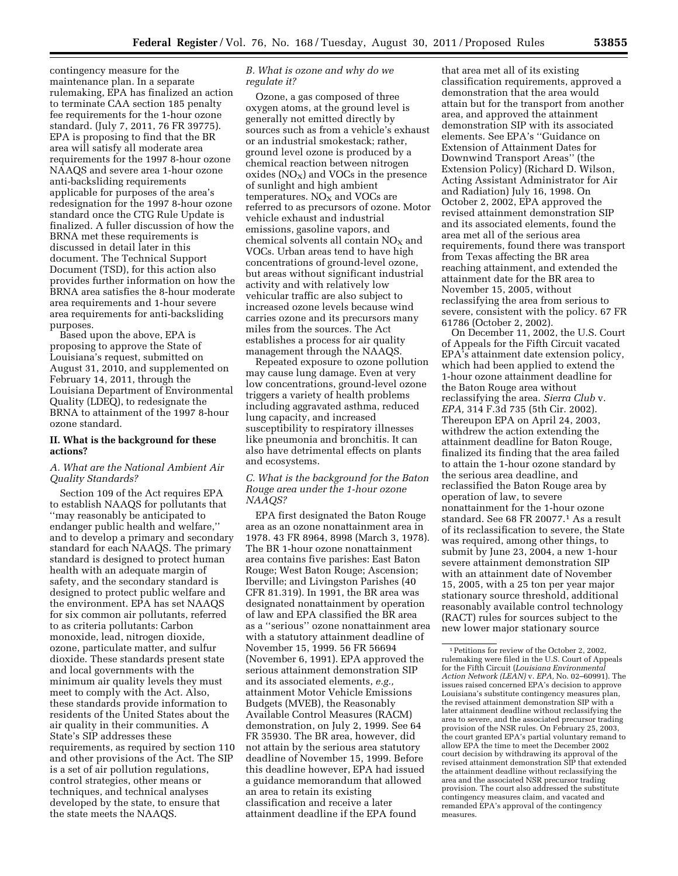contingency measure for the maintenance plan. In a separate rulemaking, EPA has finalized an action to terminate CAA section 185 penalty fee requirements for the 1-hour ozone standard. (July 7, 2011, 76 FR 39775). EPA is proposing to find that the BR area will satisfy all moderate area requirements for the 1997 8-hour ozone NAAQS and severe area 1-hour ozone anti-backsliding requirements applicable for purposes of the area's redesignation for the 1997 8-hour ozone standard once the CTG Rule Update is finalized. A fuller discussion of how the BRNA met these requirements is discussed in detail later in this document. The Technical Support Document (TSD), for this action also provides further information on how the BRNA area satisfies the 8-hour moderate area requirements and 1-hour severe area requirements for anti-backsliding purposes.

Based upon the above, EPA is proposing to approve the State of Louisiana's request, submitted on August 31, 2010, and supplemented on February 14, 2011, through the Louisiana Department of Environmental Quality (LDEQ), to redesignate the BRNA to attainment of the 1997 8-hour ozone standard.

#### **II. What is the background for these actions?**

#### *A. What are the National Ambient Air Quality Standards?*

Section 109 of the Act requires EPA to establish NAAQS for pollutants that ''may reasonably be anticipated to endanger public health and welfare,'' and to develop a primary and secondary standard for each NAAQS. The primary standard is designed to protect human health with an adequate margin of safety, and the secondary standard is designed to protect public welfare and the environment. EPA has set NAAQS for six common air pollutants, referred to as criteria pollutants: Carbon monoxide, lead, nitrogen dioxide, ozone, particulate matter, and sulfur dioxide. These standards present state and local governments with the minimum air quality levels they must meet to comply with the Act. Also, these standards provide information to residents of the United States about the air quality in their communities. A State's SIP addresses these requirements, as required by section 110 and other provisions of the Act. The SIP is a set of air pollution regulations, control strategies, other means or techniques, and technical analyses developed by the state, to ensure that the state meets the NAAQS.

# *B. What is ozone and why do we regulate it?*

Ozone, a gas composed of three oxygen atoms, at the ground level is generally not emitted directly by sources such as from a vehicle's exhaust or an industrial smokestack; rather, ground level ozone is produced by a chemical reaction between nitrogen oxides  $(NO<sub>X</sub>)$  and VOCs in the presence of sunlight and high ambient temperatures.  $NO<sub>X</sub>$  and VOCs are referred to as precursors of ozone. Motor vehicle exhaust and industrial emissions, gasoline vapors, and chemical solvents all contain  $NO<sub>x</sub>$  and VOCs. Urban areas tend to have high concentrations of ground-level ozone, but areas without significant industrial activity and with relatively low vehicular traffic are also subject to increased ozone levels because wind carries ozone and its precursors many miles from the sources. The Act establishes a process for air quality management through the NAAQS.

Repeated exposure to ozone pollution may cause lung damage. Even at very low concentrations, ground-level ozone triggers a variety of health problems including aggravated asthma, reduced lung capacity, and increased susceptibility to respiratory illnesses like pneumonia and bronchitis. It can also have detrimental effects on plants and ecosystems.

## *C. What is the background for the Baton Rouge area under the 1-hour ozone NAAQS?*

EPA first designated the Baton Rouge area as an ozone nonattainment area in 1978. 43 FR 8964, 8998 (March 3, 1978). The BR 1-hour ozone nonattainment area contains five parishes: East Baton Rouge; West Baton Rouge; Ascension; Iberville; and Livingston Parishes (40 CFR 81.319). In 1991, the BR area was designated nonattainment by operation of law and EPA classified the BR area as a ''serious'' ozone nonattainment area with a statutory attainment deadline of November 15, 1999. 56 FR 56694 (November 6, 1991). EPA approved the serious attainment demonstration SIP and its associated elements, *e.g.,*  attainment Motor Vehicle Emissions Budgets (MVEB), the Reasonably Available Control Measures (RACM) demonstration, on July 2, 1999. See 64 FR 35930. The BR area, however, did not attain by the serious area statutory deadline of November 15, 1999. Before this deadline however, EPA had issued a guidance memorandum that allowed an area to retain its existing classification and receive a later attainment deadline if the EPA found

that area met all of its existing classification requirements, approved a demonstration that the area would attain but for the transport from another area, and approved the attainment demonstration SIP with its associated elements. See EPA's ''Guidance on Extension of Attainment Dates for Downwind Transport Areas'' (the Extension Policy) (Richard D. Wilson, Acting Assistant Administrator for Air and Radiation) July 16, 1998. On October 2, 2002, EPA approved the revised attainment demonstration SIP and its associated elements, found the area met all of the serious area requirements, found there was transport from Texas affecting the BR area reaching attainment, and extended the attainment date for the BR area to November 15, 2005, without reclassifying the area from serious to severe, consistent with the policy. 67 FR 61786 (October 2, 2002).

On December 11, 2002, the U.S. Court of Appeals for the Fifth Circuit vacated EPA's attainment date extension policy, which had been applied to extend the 1-hour ozone attainment deadline for the Baton Rouge area without reclassifying the area. *Sierra Club* v. *EPA,* 314 F.3d 735 (5th Cir. 2002). Thereupon EPA on April 24, 2003, withdrew the action extending the attainment deadline for Baton Rouge, finalized its finding that the area failed to attain the 1-hour ozone standard by the serious area deadline, and reclassified the Baton Rouge area by operation of law, to severe nonattainment for the 1-hour ozone standard. See 68 FR 20077.1 As a result of its reclassification to severe, the State was required, among other things, to submit by June 23, 2004, a new 1-hour severe attainment demonstration SIP with an attainment date of November 15, 2005, with a 25 ton per year major stationary source threshold, additional reasonably available control technology (RACT) rules for sources subject to the new lower major stationary source

<sup>1</sup>Petitions for review of the October 2, 2002, rulemaking were filed in the U.S. Court of Appeals for the Fifth Circuit (*Louisiana Environmental Action Network (LEAN)* v. *EPA,* No. 02–60991). The issues raised concerned EPA's decision to approve Louisiana's substitute contingency measures plan, the revised attainment demonstration SIP with a later attainment deadline without reclassifying the area to severe, and the associated precursor trading provision of the NSR rules. On February 25, 2003, the court granted EPA's partial voluntary remand to allow EPA the time to meet the December 2002 court decision by withdrawing its approval of the revised attainment demonstration SIP that extended the attainment deadline without reclassifying the area and the associated NSR precursor trading provision. The court also addressed the substitute contingency measures claim, and vacated and remanded EPA's approval of the contingency measures.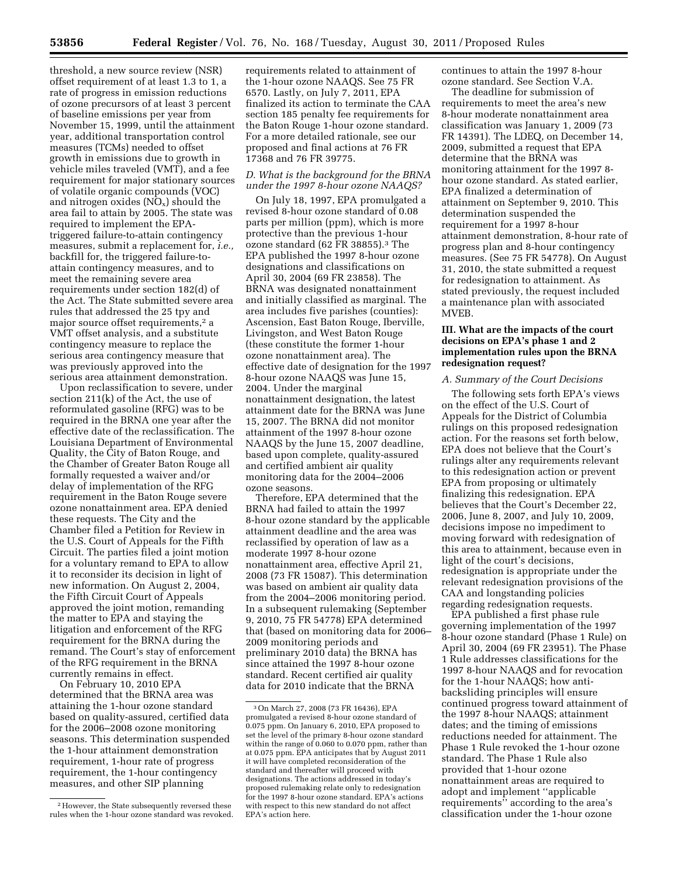threshold, a new source review (NSR) offset requirement of at least 1.3 to 1, a rate of progress in emission reductions of ozone precursors of at least 3 percent of baseline emissions per year from November 15, 1999, until the attainment year, additional transportation control measures (TCMs) needed to offset growth in emissions due to growth in vehicle miles traveled (VMT), and a fee requirement for major stationary sources of volatile organic compounds (VOC) and nitrogen oxides  $(NO_x)$  should the area fail to attain by 2005. The state was required to implement the EPAtriggered failure-to-attain contingency measures, submit a replacement for, *i.e.,*  backfill for, the triggered failure-toattain contingency measures, and to meet the remaining severe area requirements under section 182(d) of the Act. The State submitted severe area rules that addressed the 25 tpy and major source offset requirements,<sup>2</sup> a VMT offset analysis, and a substitute contingency measure to replace the serious area contingency measure that was previously approved into the serious area attainment demonstration.

Upon reclassification to severe, under section 211(k) of the Act, the use of reformulated gasoline (RFG) was to be required in the BRNA one year after the effective date of the reclassification. The Louisiana Department of Environmental Quality, the City of Baton Rouge, and the Chamber of Greater Baton Rouge all formally requested a waiver and/or delay of implementation of the RFG requirement in the Baton Rouge severe ozone nonattainment area. EPA denied these requests. The City and the Chamber filed a Petition for Review in the U.S. Court of Appeals for the Fifth Circuit. The parties filed a joint motion for a voluntary remand to EPA to allow it to reconsider its decision in light of new information. On August 2, 2004, the Fifth Circuit Court of Appeals approved the joint motion, remanding the matter to EPA and staying the litigation and enforcement of the RFG requirement for the BRNA during the remand. The Court's stay of enforcement of the RFG requirement in the BRNA currently remains in effect.

On February 10, 2010 EPA determined that the BRNA area was attaining the 1-hour ozone standard based on quality-assured, certified data for the 2006–2008 ozone monitoring seasons. This determination suspended the 1-hour attainment demonstration requirement, 1-hour rate of progress requirement, the 1-hour contingency measures, and other SIP planning

requirements related to attainment of the 1-hour ozone NAAQS. See 75 FR 6570. Lastly, on July 7, 2011, EPA finalized its action to terminate the CAA section 185 penalty fee requirements for the Baton Rouge 1-hour ozone standard. For a more detailed rationale, see our proposed and final actions at 76 FR 17368 and 76 FR 39775.

#### *D. What is the background for the BRNA under the 1997 8-hour ozone NAAQS?*

On July 18, 1997, EPA promulgated a revised 8-hour ozone standard of 0.08 parts per million (ppm), which is more protective than the previous 1-hour ozone standard (62 FR 38855).3 The EPA published the 1997 8-hour ozone designations and classifications on April 30, 2004 (69 FR 23858). The BRNA was designated nonattainment and initially classified as marginal. The area includes five parishes (counties): Ascension, East Baton Rouge, Iberville, Livingston, and West Baton Rouge (these constitute the former 1-hour ozone nonattainment area). The effective date of designation for the 1997 8-hour ozone NAAQS was June 15, 2004. Under the marginal nonattainment designation, the latest attainment date for the BRNA was June 15, 2007. The BRNA did not monitor attainment of the 1997 8-hour ozone NAAQS by the June 15, 2007 deadline, based upon complete, quality-assured and certified ambient air quality monitoring data for the 2004–2006 ozone seasons.

Therefore, EPA determined that the BRNA had failed to attain the 1997 8-hour ozone standard by the applicable attainment deadline and the area was reclassified by operation of law as a moderate 1997 8-hour ozone nonattainment area, effective April 21, 2008 (73 FR 15087). This determination was based on ambient air quality data from the 2004–2006 monitoring period. In a subsequent rulemaking (September 9, 2010, 75 FR 54778) EPA determined that (based on monitoring data for 2006– 2009 monitoring periods and preliminary 2010 data) the BRNA has since attained the 1997 8-hour ozone standard. Recent certified air quality data for 2010 indicate that the BRNA

continues to attain the 1997 8-hour ozone standard. See Section V.A.

The deadline for submission of requirements to meet the area's new 8-hour moderate nonattainment area classification was January 1, 2009 (73 FR 14391). The LDEQ, on December 14, 2009, submitted a request that EPA determine that the BRNA was monitoring attainment for the 1997 8 hour ozone standard. As stated earlier, EPA finalized a determination of attainment on September 9, 2010. This determination suspended the requirement for a 1997 8-hour attainment demonstration, 8-hour rate of progress plan and 8-hour contingency measures. (See 75 FR 54778). On August 31, 2010, the state submitted a request for redesignation to attainment. As stated previously, the request included a maintenance plan with associated MVEB.

# **III. What are the impacts of the court decisions on EPA's phase 1 and 2 implementation rules upon the BRNA redesignation request?**

#### *A. Summary of the Court Decisions*

The following sets forth EPA's views on the effect of the U.S. Court of Appeals for the District of Columbia rulings on this proposed redesignation action. For the reasons set forth below, EPA does not believe that the Court's rulings alter any requirements relevant to this redesignation action or prevent EPA from proposing or ultimately finalizing this redesignation. EPA believes that the Court's December 22, 2006, June 8, 2007, and July 10, 2009, decisions impose no impediment to moving forward with redesignation of this area to attainment, because even in light of the court's decisions, redesignation is appropriate under the relevant redesignation provisions of the CAA and longstanding policies regarding redesignation requests.

EPA published a first phase rule governing implementation of the 1997 8-hour ozone standard (Phase 1 Rule) on April 30, 2004 (69 FR 23951). The Phase 1 Rule addresses classifications for the 1997 8-hour NAAQS and for revocation for the 1-hour NAAQS; how antibacksliding principles will ensure continued progress toward attainment of the 1997 8-hour NAAQS; attainment dates; and the timing of emissions reductions needed for attainment. The Phase 1 Rule revoked the 1-hour ozone standard. The Phase 1 Rule also provided that 1-hour ozone nonattainment areas are required to adopt and implement ''applicable requirements'' according to the area's classification under the 1-hour ozone

<sup>2</sup>However, the State subsequently reversed these rules when the 1-hour ozone standard was revoked.

<sup>3</sup>On March 27, 2008 (73 FR 16436), EPA promulgated a revised 8-hour ozone standard of 0.075 ppm. On January 6, 2010, EPA proposed to set the level of the primary 8-hour ozone standard within the range of 0.060 to 0.070 ppm, rather than at 0.075 ppm. EPA anticipates that by August 2011 it will have completed reconsideration of the standard and thereafter will proceed with designations. The actions addressed in today's proposed rulemaking relate only to redesignation for the 1997 8-hour ozone standard. EPA's actions with respect to this new standard do not affect EPA's action here.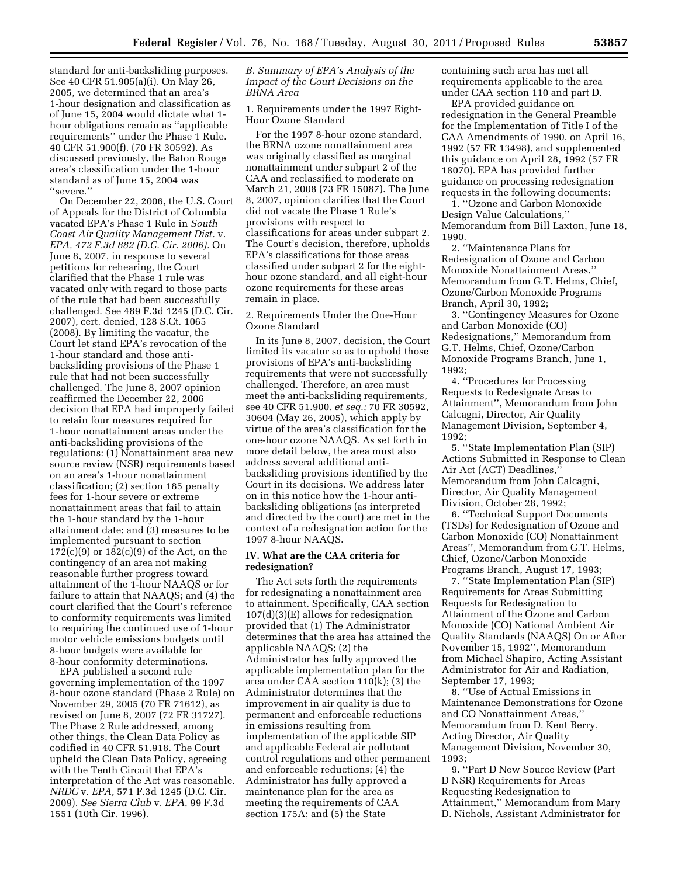standard for anti-backsliding purposes. See 40 CFR 51.905(a)(i). On May 26, 2005, we determined that an area's 1-hour designation and classification as of June 15, 2004 would dictate what 1 hour obligations remain as ''applicable requirements'' under the Phase 1 Rule. 40 CFR 51.900(f). (70 FR 30592). As discussed previously, the Baton Rouge area's classification under the 1-hour standard as of June 15, 2004 was ''severe.''

On December 22, 2006, the U.S. Court of Appeals for the District of Columbia vacated EPA's Phase 1 Rule in *South Coast Air Quality Management Dist.* v. *EPA, 472 F.3d 882 (D.C. Cir. 2006).* On June 8, 2007, in response to several petitions for rehearing, the Court clarified that the Phase 1 rule was vacated only with regard to those parts of the rule that had been successfully challenged. See 489 F.3d 1245 (D.C. Cir. 2007), cert. denied, 128 S.Ct. 1065 (2008). By limiting the vacatur, the Court let stand EPA's revocation of the 1-hour standard and those antibacksliding provisions of the Phase 1 rule that had not been successfully challenged. The June 8, 2007 opinion reaffirmed the December 22, 2006 decision that EPA had improperly failed to retain four measures required for 1-hour nonattainment areas under the anti-backsliding provisions of the regulations: (1) Nonattainment area new source review (NSR) requirements based on an area's 1-hour nonattainment classification; (2) section 185 penalty fees for 1-hour severe or extreme nonattainment areas that fail to attain the 1-hour standard by the 1-hour attainment date; and (3) measures to be implemented pursuant to section 172(c)(9) or 182(c)(9) of the Act, on the contingency of an area not making reasonable further progress toward attainment of the 1-hour NAAQS or for failure to attain that NAAQS; and (4) the court clarified that the Court's reference to conformity requirements was limited to requiring the continued use of 1-hour motor vehicle emissions budgets until 8-hour budgets were available for 8-hour conformity determinations.

EPA published a second rule governing implementation of the 1997 8-hour ozone standard (Phase 2 Rule) on November 29, 2005 (70 FR 71612), as revised on June 8, 2007 (72 FR 31727). The Phase 2 Rule addressed, among other things, the Clean Data Policy as codified in 40 CFR 51.918. The Court upheld the Clean Data Policy, agreeing with the Tenth Circuit that EPA's interpretation of the Act was reasonable. *NRDC* v. *EPA,* 571 F.3d 1245 (D.C. Cir. 2009). *See Sierra Club* v. *EPA,* 99 F.3d 1551 (10th Cir. 1996).

# *B. Summary of EPA's Analysis of the Impact of the Court Decisions on the BRNA Area*

1. Requirements under the 1997 Eight-Hour Ozone Standard

For the 1997 8-hour ozone standard, the BRNA ozone nonattainment area was originally classified as marginal nonattainment under subpart 2 of the CAA and reclassified to moderate on March 21, 2008 (73 FR 15087). The June 8, 2007, opinion clarifies that the Court did not vacate the Phase 1 Rule's provisions with respect to classifications for areas under subpart 2. The Court's decision, therefore, upholds EPA's classifications for those areas classified under subpart 2 for the eighthour ozone standard, and all eight-hour ozone requirements for these areas remain in place.

2. Requirements Under the One-Hour Ozone Standard

In its June 8, 2007, decision, the Court limited its vacatur so as to uphold those provisions of EPA's anti-backsliding requirements that were not successfully challenged. Therefore, an area must meet the anti-backsliding requirements, see 40 CFR 51.900, *et seq.;* 70 FR 30592, 30604 (May 26, 2005), which apply by virtue of the area's classification for the one-hour ozone NAAQS. As set forth in more detail below, the area must also address several additional antibacksliding provisions identified by the Court in its decisions. We address later on in this notice how the 1-hour antibacksliding obligations (as interpreted and directed by the court) are met in the context of a redesignation action for the 1997 8-hour NAAQS.

## **IV. What are the CAA criteria for redesignation?**

The Act sets forth the requirements for redesignating a nonattainment area to attainment. Specifically, CAA section 107(d)(3)(E) allows for redesignation provided that (1) The Administrator determines that the area has attained the applicable NAAQS; (2) the Administrator has fully approved the applicable implementation plan for the area under CAA section 110(k); (3) the Administrator determines that the improvement in air quality is due to permanent and enforceable reductions in emissions resulting from implementation of the applicable SIP and applicable Federal air pollutant control regulations and other permanent and enforceable reductions; (4) the Administrator has fully approved a maintenance plan for the area as meeting the requirements of CAA section 175A; and (5) the State

containing such area has met all requirements applicable to the area under CAA section 110 and part D.

EPA provided guidance on redesignation in the General Preamble for the Implementation of Title I of the CAA Amendments of 1990, on April 16, 1992 (57 FR 13498), and supplemented this guidance on April 28, 1992 (57 FR 18070). EPA has provided further guidance on processing redesignation requests in the following documents:

1. ''Ozone and Carbon Monoxide Design Value Calculations,'' Memorandum from Bill Laxton, June 18, 1990.

2. ''Maintenance Plans for Redesignation of Ozone and Carbon Monoxide Nonattainment Areas,'' Memorandum from G.T. Helms, Chief, Ozone/Carbon Monoxide Programs Branch, April 30, 1992;

3. ''Contingency Measures for Ozone and Carbon Monoxide (CO) Redesignations,'' Memorandum from G.T. Helms, Chief, Ozone/Carbon Monoxide Programs Branch, June 1, 1992;

4. ''Procedures for Processing Requests to Redesignate Areas to Attainment'', Memorandum from John Calcagni, Director, Air Quality Management Division, September 4, 1992;

5. ''State Implementation Plan (SIP) Actions Submitted in Response to Clean Air Act (ACT) Deadlines,'' Memorandum from John Calcagni, Director, Air Quality Management Division, October 28, 1992;

6. ''Technical Support Documents (TSDs) for Redesignation of Ozone and Carbon Monoxide (CO) Nonattainment Areas'', Memorandum from G.T. Helms, Chief, Ozone/Carbon Monoxide Programs Branch, August 17, 1993;

7. ''State Implementation Plan (SIP) Requirements for Areas Submitting Requests for Redesignation to Attainment of the Ozone and Carbon Monoxide (CO) National Ambient Air Quality Standards (NAAQS) On or After November 15, 1992'', Memorandum from Michael Shapiro, Acting Assistant Administrator for Air and Radiation, September 17, 1993;

8. ''Use of Actual Emissions in Maintenance Demonstrations for Ozone and CO Nonattainment Areas,'' Memorandum from D. Kent Berry, Acting Director, Air Quality Management Division, November 30, 1993;

9. ''Part D New Source Review (Part D NSR) Requirements for Areas Requesting Redesignation to Attainment,'' Memorandum from Mary D. Nichols, Assistant Administrator for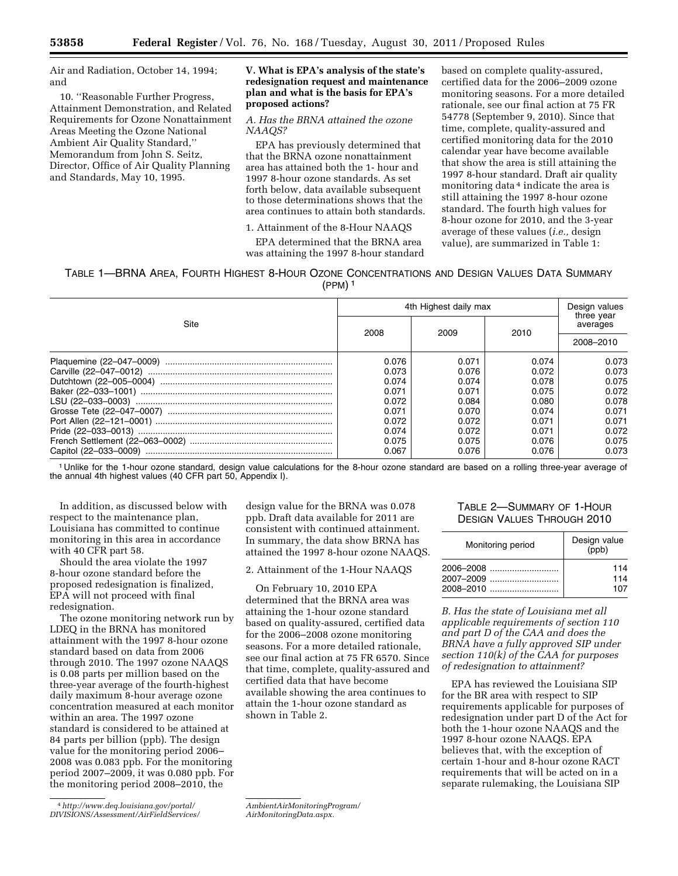Air and Radiation, October 14, 1994; and

10. ''Reasonable Further Progress, Attainment Demonstration, and Related Requirements for Ozone Nonattainment Areas Meeting the Ozone National Ambient Air Quality Standard,'' Memorandum from John S. Seitz, Director, Office of Air Quality Planning and Standards, May 10, 1995.

## **V. What is EPA's analysis of the state's redesignation request and maintenance plan and what is the basis for EPA's proposed actions?**

### *A. Has the BRNA attained the ozone NAAQS?*

EPA has previously determined that that the BRNA ozone nonattainment area has attained both the 1- hour and 1997 8-hour ozone standards. As set forth below, data available subsequent to those determinations shows that the area continues to attain both standards.

1. Attainment of the 8-Hour NAAQS

EPA determined that the BRNA area was attaining the 1997 8-hour standard

based on complete quality-assured, certified data for the 2006–2009 ozone monitoring seasons. For a more detailed rationale, see our final action at 75 FR 54778 (September 9, 2010). Since that time, complete, quality-assured and certified monitoring data for the 2010 calendar year have become available that show the area is still attaining the 1997 8-hour standard. Draft air quality monitoring data 4 indicate the area is still attaining the 1997 8-hour ozone standard. The fourth high values for 8-hour ozone for 2010, and the 3-year average of these values (*i.e.,* design value), are summarized in Table 1:

| Table 1—BRNA Area, Fourth Highest 8-Hour Ozone Concentrations and Design Values Data Summary |             |  |  |  |
|----------------------------------------------------------------------------------------------|-------------|--|--|--|
|                                                                                              | $(PPM)^{4}$ |  |  |  |

(PPM) 1

|      | 4th Highest daily max | Design values |       |                        |  |
|------|-----------------------|---------------|-------|------------------------|--|
| Site | 2008                  | 2009          | 2010  | three year<br>averages |  |
|      |                       |               |       | 2008-2010              |  |
|      | 0.076                 | 0.071         | 0.074 | 0.073                  |  |
|      | 0.073                 | 0.076         | 0.072 | 0.073                  |  |
|      | 0.074                 | 0.074         | 0.078 | 0.075                  |  |
|      | 0.071                 | 0.071         | 0.075 | 0.072                  |  |
|      | 0.072                 | 0.084         | 0.080 | 0.078                  |  |
|      | 0.071                 | 0.070         | 0.074 | 0.071                  |  |
|      | 0.072                 | 0.072         | 0.071 | 0.071                  |  |
|      | 0.074                 | 0.072         | 0.071 | 0.072                  |  |
|      | 0.075                 | 0.075         | 0.076 | 0.075                  |  |
|      | 0.067                 | 0.076         | 0.076 | 0.073                  |  |

1 Unlike for the 1-hour ozone standard, design value calculations for the 8-hour ozone standard are based on a rolling three-year average of the annual 4th highest values (40 CFR part 50, Appendix I).

In addition, as discussed below with respect to the maintenance plan, Louisiana has committed to continue monitoring in this area in accordance with 40 CFR part 58.

Should the area violate the 1997 8-hour ozone standard before the proposed redesignation is finalized, EPA will not proceed with final redesignation.

The ozone monitoring network run by LDEQ in the BRNA has monitored attainment with the 1997 8-hour ozone standard based on data from 2006 through 2010. The 1997 ozone NAAQS is 0.08 parts per million based on the three-year average of the fourth-highest daily maximum 8-hour average ozone concentration measured at each monitor within an area. The 1997 ozone standard is considered to be attained at 84 parts per billion (ppb). The design value for the monitoring period 2006– 2008 was 0.083 ppb. For the monitoring period 2007–2009, it was 0.080 ppb. For the monitoring period 2008–2010, the

design value for the BRNA was 0.078 ppb. Draft data available for 2011 are consistent with continued attainment. In summary, the data show BRNA has attained the 1997 8-hour ozone NAAQS.

2. Attainment of the 1-Hour NAAQS

On February 10, 2010 EPA determined that the BRNA area was attaining the 1-hour ozone standard based on quality-assured, certified data for the 2006–2008 ozone monitoring seasons. For a more detailed rationale, see our final action at 75 FR 6570. Since that time, complete, quality-assured and certified data that have become available showing the area continues to attain the 1-hour ozone standard as shown in Table 2.

*[AmbientAirMonitoringProgram/](http://www.deq.louisiana.gov/portal/DIVISIONS/Assessment/AirFieldServices/AmbientAirMonitoringProgram/AirMonitoringData.aspx) [AirMonitoringData.aspx.](http://www.deq.louisiana.gov/portal/DIVISIONS/Assessment/AirFieldServices/AmbientAirMonitoringProgram/AirMonitoringData.aspx)* 

# TABLE 2—SUMMARY OF 1-HOUR DESIGN VALUES THROUGH 2010

| Monitoring period | Design value<br>(ppb) |
|-------------------|-----------------------|
| 2006–2008         | 114                   |
| 2007–2009         | 114                   |
| 2008–2010         | 107                   |

*B. Has the state of Louisiana met all applicable requirements of section 110 and part D of the CAA and does the BRNA have a fully approved SIP under section 110(k) of the CAA for purposes of redesignation to attainment?* 

EPA has reviewed the Louisiana SIP for the BR area with respect to SIP requirements applicable for purposes of redesignation under part D of the Act for both the 1-hour ozone NAAQS and the 1997 8-hour ozone NAAQS. EPA believes that, with the exception of certain 1-hour and 8-hour ozone RACT requirements that will be acted on in a separate rulemaking, the Louisiana SIP

<sup>4</sup>*[http://www.deq.louisiana.gov/portal/](http://www.deq.louisiana.gov/portal/DIVISIONS/Assessment/AirFieldServices/AmbientAirMonitoringProgram/AirMonitoringData.aspx)  [DIVISIONS/Assessment/AirFieldServices/](http://www.deq.louisiana.gov/portal/DIVISIONS/Assessment/AirFieldServices/AmbientAirMonitoringProgram/AirMonitoringData.aspx)*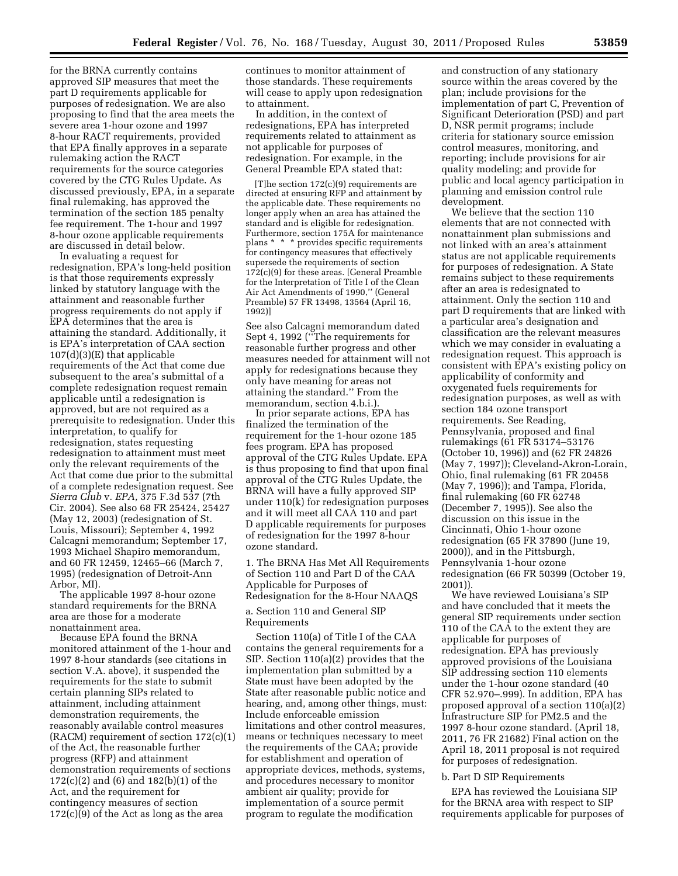for the BRNA currently contains approved SIP measures that meet the part D requirements applicable for purposes of redesignation. We are also proposing to find that the area meets the severe area 1-hour ozone and 1997 8-hour RACT requirements, provided that EPA finally approves in a separate rulemaking action the RACT requirements for the source categories covered by the CTG Rules Update. As discussed previously, EPA, in a separate final rulemaking, has approved the termination of the section 185 penalty fee requirement. The 1-hour and 1997 8-hour ozone applicable requirements are discussed in detail below.

In evaluating a request for redesignation, EPA's long-held position is that those requirements expressly linked by statutory language with the attainment and reasonable further progress requirements do not apply if EPA determines that the area is attaining the standard. Additionally, it is EPA's interpretation of CAA section 107(d)(3)(E) that applicable requirements of the Act that come due subsequent to the area's submittal of a complete redesignation request remain applicable until a redesignation is approved, but are not required as a prerequisite to redesignation. Under this interpretation, to qualify for redesignation, states requesting redesignation to attainment must meet only the relevant requirements of the Act that come due prior to the submittal of a complete redesignation request. See *Sierra Club* v. *EPA,* 375 F.3d 537 (7th Cir. 2004). See also 68 FR 25424, 25427 (May 12, 2003) (redesignation of St. Louis, Missouri); September 4, 1992 Calcagni memorandum; September 17, 1993 Michael Shapiro memorandum, and 60 FR 12459, 12465–66 (March 7, 1995) (redesignation of Detroit-Ann Arbor, MI).

The applicable 1997 8-hour ozone standard requirements for the BRNA area are those for a moderate nonattainment area.

Because EPA found the BRNA monitored attainment of the 1-hour and 1997 8-hour standards (see citations in section V.A. above), it suspended the requirements for the state to submit certain planning SIPs related to attainment, including attainment demonstration requirements, the reasonably available control measures (RACM) requirement of section 172(c)(1) of the Act, the reasonable further progress (RFP) and attainment demonstration requirements of sections 172(c)(2) and (6) and 182(b)(1) of the Act, and the requirement for contingency measures of section 172(c)(9) of the Act as long as the area

continues to monitor attainment of those standards. These requirements will cease to apply upon redesignation to attainment.

In addition, in the context of redesignations, EPA has interpreted requirements related to attainment as not applicable for purposes of redesignation. For example, in the General Preamble EPA stated that:

[T]he section 172(c)(9) requirements are directed at ensuring RFP and attainment by the applicable date. These requirements no longer apply when an area has attained the standard and is eligible for redesignation. Furthermore, section 175A for maintenance plans \* \* \* provides specific requirements for contingency measures that effectively supersede the requirements of section 172(c)(9) for these areas. [General Preamble for the Interpretation of Title I of the Clean Air Act Amendments of 1990,'' (General Preamble) 57 FR 13498, 13564 (April 16, 1992)]

See also Calcagni memorandum dated Sept 4, 1992 (''The requirements for reasonable further progress and other measures needed for attainment will not apply for redesignations because they only have meaning for areas not attaining the standard.'' From the memorandum, section 4.b.i.).

In prior separate actions, EPA has finalized the termination of the requirement for the 1-hour ozone 185 fees program. EPA has proposed approval of the CTG Rules Update. EPA is thus proposing to find that upon final approval of the CTG Rules Update, the BRNA will have a fully approved SIP under 110(k) for redesignation purposes and it will meet all CAA 110 and part D applicable requirements for purposes of redesignation for the 1997 8-hour ozone standard.

1. The BRNA Has Met All Requirements of Section 110 and Part D of the CAA Applicable for Purposes of Redesignation for the 8-Hour NAAQS

a. Section 110 and General SIP Requirements

Section 110(a) of Title I of the CAA contains the general requirements for a SIP. Section 110(a)(2) provides that the implementation plan submitted by a State must have been adopted by the State after reasonable public notice and hearing, and, among other things, must: Include enforceable emission limitations and other control measures, means or techniques necessary to meet the requirements of the CAA; provide for establishment and operation of appropriate devices, methods, systems, and procedures necessary to monitor ambient air quality; provide for implementation of a source permit program to regulate the modification

and construction of any stationary source within the areas covered by the plan; include provisions for the implementation of part C, Prevention of Significant Deterioration (PSD) and part D, NSR permit programs; include criteria for stationary source emission control measures, monitoring, and reporting; include provisions for air quality modeling; and provide for public and local agency participation in planning and emission control rule development.

We believe that the section 110 elements that are not connected with nonattainment plan submissions and not linked with an area's attainment status are not applicable requirements for purposes of redesignation. A State remains subject to these requirements after an area is redesignated to attainment. Only the section 110 and part D requirements that are linked with a particular area's designation and classification are the relevant measures which we may consider in evaluating a redesignation request. This approach is consistent with EPA's existing policy on applicability of conformity and oxygenated fuels requirements for redesignation purposes, as well as with section 184 ozone transport requirements. See Reading, Pennsylvania, proposed and final rulemakings (61 FR 53174–53176 (October 10, 1996)) and (62 FR 24826 (May 7, 1997)); Cleveland-Akron-Lorain, Ohio, final rulemaking (61 FR 20458 (May 7, 1996)); and Tampa, Florida, final rulemaking (60 FR 62748 (December 7, 1995)). See also the discussion on this issue in the Cincinnati, Ohio 1-hour ozone redesignation (65 FR 37890 (June 19, 2000)), and in the Pittsburgh, Pennsylvania 1-hour ozone redesignation (66 FR 50399 (October 19, 2001)).

We have reviewed Louisiana's SIP and have concluded that it meets the general SIP requirements under section 110 of the CAA to the extent they are applicable for purposes of redesignation. EPA has previously approved provisions of the Louisiana SIP addressing section 110 elements under the 1-hour ozone standard (40 CFR 52.970–.999). In addition, EPA has proposed approval of a section 110(a)(2) Infrastructure SIP for PM2.5 and the 1997 8-hour ozone standard. (April 18, 2011, 76 FR 21682) Final action on the April 18, 2011 proposal is not required for purposes of redesignation.

#### b. Part D SIP Requirements

EPA has reviewed the Louisiana SIP for the BRNA area with respect to SIP requirements applicable for purposes of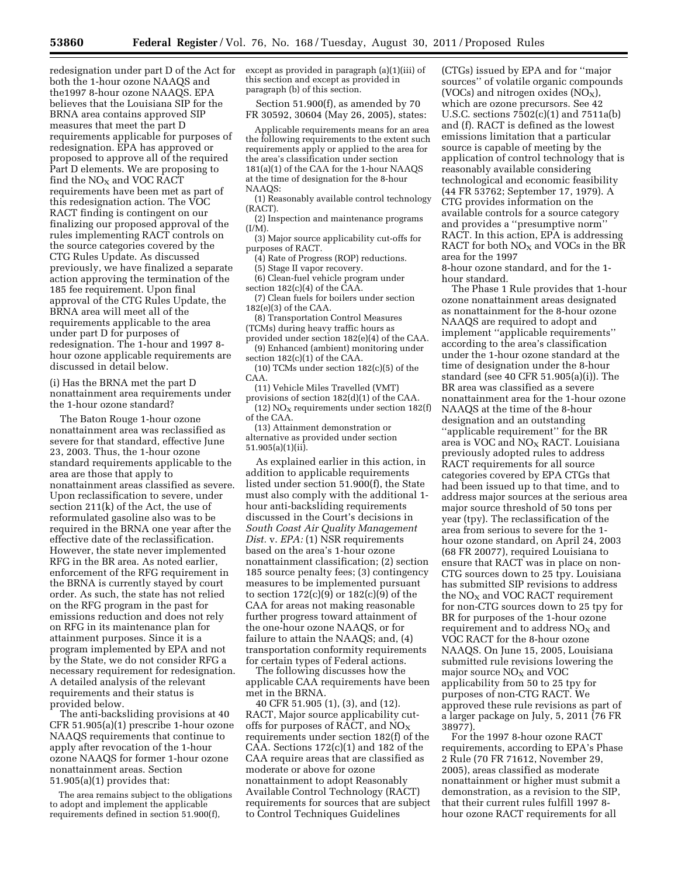redesignation under part D of the Act for both the 1-hour ozone NAAQS and the1997 8-hour ozone NAAQS. EPA believes that the Louisiana SIP for the BRNA area contains approved SIP measures that meet the part D requirements applicable for purposes of redesignation. EPA has approved or proposed to approve all of the required Part D elements. We are proposing to find the NO<sub>X</sub> and VOC RACT requirements have been met as part of this redesignation action. The VOC RACT finding is contingent on our finalizing our proposed approval of the rules implementing RACT controls on the source categories covered by the CTG Rules Update. As discussed previously, we have finalized a separate action approving the termination of the 185 fee requirement. Upon final approval of the CTG Rules Update, the BRNA area will meet all of the requirements applicable to the area under part D for purposes of redesignation. The 1-hour and 1997 8 hour ozone applicable requirements are discussed in detail below.

(i) Has the BRNA met the part D nonattainment area requirements under the 1-hour ozone standard?

The Baton Rouge 1-hour ozone nonattainment area was reclassified as severe for that standard, effective June 23, 2003. Thus, the 1-hour ozone standard requirements applicable to the area are those that apply to nonattainment areas classified as severe. Upon reclassification to severe, under section 211(k) of the Act, the use of reformulated gasoline also was to be required in the BRNA one year after the effective date of the reclassification. However, the state never implemented RFG in the BR area. As noted earlier, enforcement of the RFG requirement in the BRNA is currently stayed by court order. As such, the state has not relied on the RFG program in the past for emissions reduction and does not rely on RFG in its maintenance plan for attainment purposes. Since it is a program implemented by EPA and not by the State, we do not consider RFG a necessary requirement for redesignation. A detailed analysis of the relevant requirements and their status is provided below.

The anti-backsliding provisions at 40 CFR 51.905(a)(1) prescribe 1-hour ozone NAAQS requirements that continue to apply after revocation of the 1-hour ozone NAAQS for former 1-hour ozone nonattainment areas. Section 51.905(a)(1) provides that:

The area remains subject to the obligations to adopt and implement the applicable requirements defined in section 51.900(f),

except as provided in paragraph (a)(1)(iii) of this section and except as provided in paragraph (b) of this section.

Section 51.900(f), as amended by 70 FR 30592, 30604 (May 26, 2005), states:

Applicable requirements means for an area the following requirements to the extent such requirements apply or applied to the area for the area's classification under section 181(a)(1) of the CAA for the 1-hour NAAQS at the time of designation for the 8-hour NAAQS:

(1) Reasonably available control technology (RACT).

(2) Inspection and maintenance programs (I/M).

(3) Major source applicability cut-offs for purposes of RACT.

(4) Rate of Progress (ROP) reductions. (5) Stage II vapor recovery.

(6) Clean-fuel vehicle program under

section 182(c)(4) of the CAA.

(7) Clean fuels for boilers under section 182(e)(3) of the CAA.

(8) Transportation Control Measures (TCMs) during heavy traffic hours as

provided under section 182(e)(4) of the CAA.

(9) Enhanced (ambient) monitoring under section 182(c)(1) of the CAA.

(10) TCMs under section 182(c)(5) of the CAA.

(11) Vehicle Miles Travelled (VMT) provisions of section 182(d)(1) of the CAA. (12)  $NO<sub>x</sub>$  requirements under section 182(f) of the CAA.

(13) Attainment demonstration or alternative as provided under section 51.905(a)(1)(ii).

As explained earlier in this action, in addition to applicable requirements listed under section 51.900(f), the State must also comply with the additional 1 hour anti-backsliding requirements discussed in the Court's decisions in *South Coast Air Quality Management Dist.* v. *EPA:* (1) NSR requirements based on the area's 1-hour ozone nonattainment classification; (2) section 185 source penalty fees; (3) contingency measures to be implemented pursuant to section 172(c)(9) or 182(c)(9) of the CAA for areas not making reasonable further progress toward attainment of the one-hour ozone NAAQS, or for failure to attain the NAAQS; and, (4) transportation conformity requirements for certain types of Federal actions.

The following discusses how the applicable CAA requirements have been met in the BRNA.

40 CFR 51.905 (1), (3), and (12). RACT, Major source applicability cutoffs for purposes of RACT, and  $NO<sub>X</sub>$ requirements under section 182(f) of the CAA. Sections  $172(c)(1)$  and  $182$  of the CAA require areas that are classified as moderate or above for ozone nonattainment to adopt Reasonably Available Control Technology (RACT) requirements for sources that are subject to Control Techniques Guidelines

(CTGs) issued by EPA and for ''major sources'' of volatile organic compounds (VOCs) and nitrogen oxides  $(NO<sub>X</sub>)$ , which are ozone precursors. See 42 U.S.C. sections 7502(c)(1) and 7511a(b) and (f). RACT is defined as the lowest emissions limitation that a particular source is capable of meeting by the application of control technology that is reasonably available considering technological and economic feasibility (44 FR 53762; September 17, 1979). A CTG provides information on the available controls for a source category and provides a ''presumptive norm'' RACT. In this action, EPA is addressing RACT for both  $NO<sub>x</sub>$  and VOCs in the BR area for the 1997

8-hour ozone standard, and for the 1 hour standard.

The Phase 1 Rule provides that 1-hour ozone nonattainment areas designated as nonattainment for the 8-hour ozone NAAQS are required to adopt and implement ''applicable requirements'' according to the area's classification under the 1-hour ozone standard at the time of designation under the 8-hour standard (see 40 CFR 51.905(a)(i)). The BR area was classified as a severe nonattainment area for the 1-hour ozone NAAQS at the time of the 8-hour designation and an outstanding ''applicable requirement'' for the BR area is VOC and  $NO<sub>X</sub>$  RACT. Louisiana previously adopted rules to address RACT requirements for all source categories covered by EPA CTGs that had been issued up to that time, and to address major sources at the serious area major source threshold of 50 tons per year (tpy). The reclassification of the area from serious to severe for the 1 hour ozone standard, on April 24, 2003 (68 FR 20077), required Louisiana to ensure that RACT was in place on non-CTG sources down to 25 tpy. Louisiana has submitted SIP revisions to address the  $NO<sub>x</sub>$  and VOC RACT requirement for non-CTG sources down to 25 tpy for BR for purposes of the 1-hour ozone requirement and to address  $NO<sub>X</sub>$  and VOC RACT for the 8-hour ozone NAAQS. On June 15, 2005, Louisiana submitted rule revisions lowering the major source  $NO<sub>x</sub>$  and  $VOC$ applicability from 50 to 25 tpy for purposes of non-CTG RACT. We approved these rule revisions as part of a larger package on July, 5, 2011 (76 FR 38977).

For the 1997 8-hour ozone RACT requirements, according to EPA's Phase 2 Rule (70 FR 71612, November 29, 2005), areas classified as moderate nonattainment or higher must submit a demonstration, as a revision to the SIP, that their current rules fulfill 1997 8 hour ozone RACT requirements for all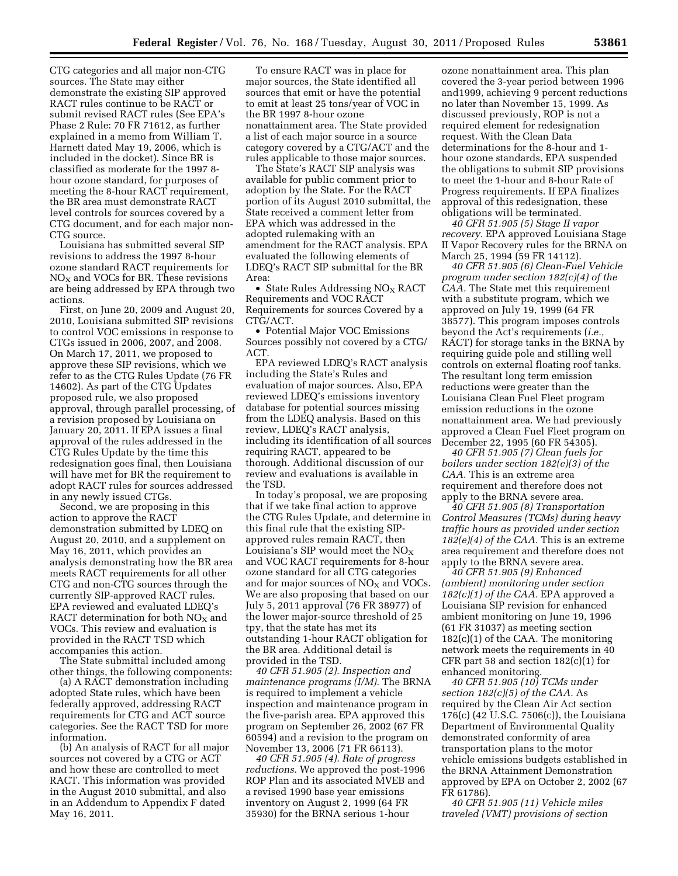CTG categories and all major non-CTG sources. The State may either demonstrate the existing SIP approved RACT rules continue to be RACT or submit revised RACT rules (See EPA's Phase 2 Rule: 70 FR 71612, as further explained in a memo from William T. Harnett dated May 19, 2006, which is included in the docket). Since BR is classified as moderate for the 1997 8 hour ozone standard, for purposes of meeting the 8-hour RACT requirement, the BR area must demonstrate RACT level controls for sources covered by a CTG document, and for each major non-CTG source.

Louisiana has submitted several SIP revisions to address the 1997 8-hour ozone standard RACT requirements for  $NO<sub>X</sub>$  and VOCs for BR. These revisions are being addressed by EPA through two actions.

First, on June 20, 2009 and August 20, 2010, Louisiana submitted SIP revisions to control VOC emissions in response to CTGs issued in 2006, 2007, and 2008. On March 17, 2011, we proposed to approve these SIP revisions, which we refer to as the CTG Rules Update (76 FR 14602). As part of the CTG Updates proposed rule, we also proposed approval, through parallel processing, of a revision proposed by Louisiana on January 20, 2011. If EPA issues a final approval of the rules addressed in the CTG Rules Update by the time this redesignation goes final, then Louisiana will have met for BR the requirement to adopt RACT rules for sources addressed in any newly issued CTGs.

Second, we are proposing in this action to approve the RACT demonstration submitted by LDEQ on August 20, 2010, and a supplement on May 16, 2011, which provides an analysis demonstrating how the BR area meets RACT requirements for all other CTG and non-CTG sources through the currently SIP-approved RACT rules. EPA reviewed and evaluated LDEQ's RACT determination for both  $NO<sub>X</sub>$  and VOCs. This review and evaluation is provided in the RACT TSD which accompanies this action.

The State submittal included among other things, the following components:

(a) A RACT demonstration including adopted State rules, which have been federally approved, addressing RACT requirements for CTG and ACT source categories. See the RACT TSD for more information.

(b) An analysis of RACT for all major sources not covered by a CTG or ACT and how these are controlled to meet RACT. This information was provided in the August 2010 submittal, and also in an Addendum to Appendix F dated May 16, 2011.

To ensure RACT was in place for major sources, the State identified all sources that emit or have the potential to emit at least 25 tons/year of VOC in the BR 1997 8-hour ozone nonattainment area. The State provided a list of each major source in a source category covered by a CTG/ACT and the rules applicable to those major sources.

The State's RACT SIP analysis was available for public comment prior to adoption by the State. For the RACT portion of its August 2010 submittal, the State received a comment letter from EPA which was addressed in the adopted rulemaking with an amendment for the RACT analysis. EPA evaluated the following elements of LDEQ's RACT SIP submittal for the BR Area:

• State Rules Addressing  $NO<sub>X</sub> RACT$ Requirements and VOC RACT Requirements for sources Covered by a CTG/ACT.

• Potential Major VOC Emissions Sources possibly not covered by a CTG/ ACT.

EPA reviewed LDEQ's RACT analysis including the State's Rules and evaluation of major sources. Also, EPA reviewed LDEQ's emissions inventory database for potential sources missing from the LDEQ analysis. Based on this review, LDEQ's RACT analysis, including its identification of all sources requiring RACT, appeared to be thorough. Additional discussion of our review and evaluations is available in the TSD.

In today's proposal, we are proposing that if we take final action to approve the CTG Rules Update, and determine in this final rule that the existing SIPapproved rules remain RACT, then Louisiana's SIP would meet the  $NO<sub>X</sub>$ and VOC RACT requirements for 8-hour ozone standard for all CTG categories and for major sources of  $NO<sub>X</sub>$  and VOCs. We are also proposing that based on our July 5, 2011 approval (76 FR 38977) of the lower major-source threshold of 25 tpy, that the state has met its outstanding 1-hour RACT obligation for the BR area. Additional detail is provided in the TSD.

*40 CFR 51.905 (2). Inspection and maintenance programs (I/M).* The BRNA is required to implement a vehicle inspection and maintenance program in the five-parish area. EPA approved this program on September 26, 2002 (67 FR 60594) and a revision to the program on November 13, 2006 (71 FR 66113).

*40 CFR 51.905 (4). Rate of progress reductions.* We approved the post-1996 ROP Plan and its associated MVEB and a revised 1990 base year emissions inventory on August 2, 1999 (64 FR 35930) for the BRNA serious 1-hour

ozone nonattainment area. This plan covered the 3-year period between 1996 and1999, achieving 9 percent reductions no later than November 15, 1999. As discussed previously, ROP is not a required element for redesignation request. With the Clean Data determinations for the 8-hour and 1 hour ozone standards, EPA suspended the obligations to submit SIP provisions to meet the 1-hour and 8-hour Rate of Progress requirements. If EPA finalizes approval of this redesignation, these obligations will be terminated.

*40 CFR 51.905 (5) Stage II vapor recovery.* EPA approved Louisiana Stage II Vapor Recovery rules for the BRNA on March 25, 1994 (59 FR 14112).

*40 CFR 51.905 (6) Clean-Fuel Vehicle program under section 182(c)(4) of the CAA.* The State met this requirement with a substitute program, which we approved on July 19, 1999 (64 FR 38577). This program imposes controls beyond the Act's requirements (*i.e.,*  RACT) for storage tanks in the BRNA by requiring guide pole and stilling well controls on external floating roof tanks. The resultant long term emission reductions were greater than the Louisiana Clean Fuel Fleet program emission reductions in the ozone nonattainment area. We had previously approved a Clean Fuel Fleet program on December 22, 1995 (60 FR 54305).

*40 CFR 51.905 (7) Clean fuels for boilers under section 182(e)(3) of the CAA.* This is an extreme area requirement and therefore does not apply to the BRNA severe area.

*40 CFR 51.905 (8) Transportation Control Measures (TCMs) during heavy traffic hours as provided under section 182(e)(4) of the CAA.* This is an extreme area requirement and therefore does not apply to the BRNA severe area.

*40 CFR 51.905 (9) Enhanced (ambient) monitoring under section 182(c)(1) of the CAA.* EPA approved a Louisiana SIP revision for enhanced ambient monitoring on June 19, 1996 (61 FR 31037) as meeting section 182(c)(1) of the CAA. The monitoring network meets the requirements in 40 CFR part 58 and section  $182(c)(1)$  for enhanced monitoring.

*40 CFR 51.905 (10) TCMs under section 182(c)(5) of the CAA.* As required by the Clean Air Act section 176(c) (42 U.S.C. 7506(c)), the Louisiana Department of Environmental Quality demonstrated conformity of area transportation plans to the motor vehicle emissions budgets established in the BRNA Attainment Demonstration approved by EPA on October 2, 2002 (67 FR 61786).

*40 CFR 51.905 (11) Vehicle miles traveled (VMT) provisions of section*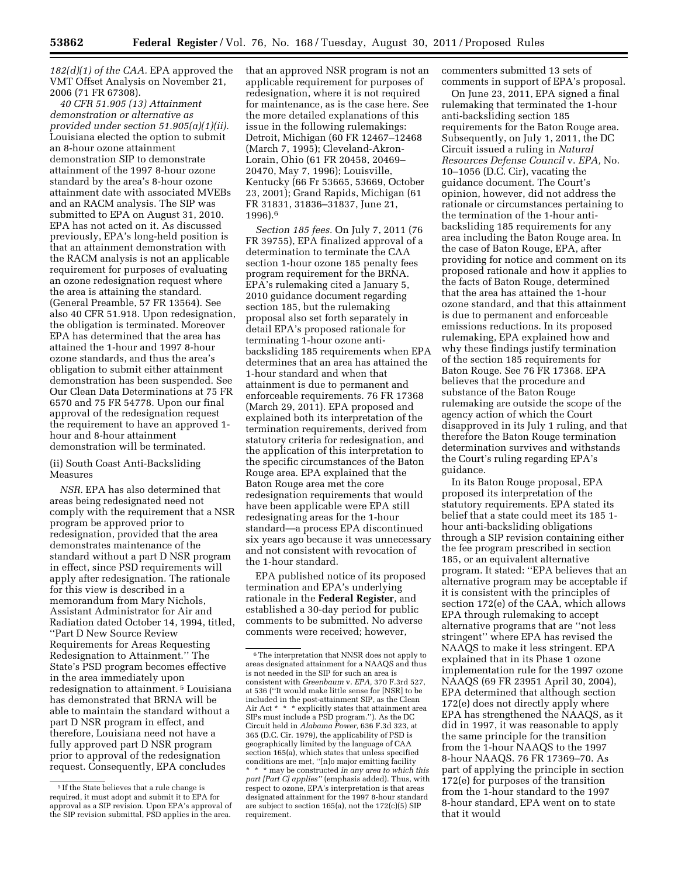*182(d)(1) of the CAA.* EPA approved the VMT Offset Analysis on November 21, 2006 (71 FR 67308).

*40 CFR 51.905 (13) Attainment demonstration or alternative as provided under section 51.905(a)(1)(ii).*  Louisiana elected the option to submit an 8-hour ozone attainment demonstration SIP to demonstrate attainment of the 1997 8-hour ozone standard by the area's 8-hour ozone attainment date with associated MVEBs and an RACM analysis. The SIP was submitted to EPA on August 31, 2010. EPA has not acted on it. As discussed previously, EPA's long-held position is that an attainment demonstration with the RACM analysis is not an applicable requirement for purposes of evaluating an ozone redesignation request where the area is attaining the standard. (General Preamble, 57 FR 13564). See also 40 CFR 51.918. Upon redesignation, the obligation is terminated. Moreover EPA has determined that the area has attained the 1-hour and 1997 8-hour ozone standards, and thus the area's obligation to submit either attainment demonstration has been suspended. See Our Clean Data Determinations at 75 FR 6570 and 75 FR 54778. Upon our final approval of the redesignation request the requirement to have an approved 1 hour and 8-hour attainment demonstration will be terminated.

(ii) South Coast Anti-Backsliding Measures

*NSR.* EPA has also determined that areas being redesignated need not comply with the requirement that a NSR program be approved prior to redesignation, provided that the area demonstrates maintenance of the standard without a part D NSR program in effect, since PSD requirements will apply after redesignation. The rationale for this view is described in a memorandum from Mary Nichols, Assistant Administrator for Air and Radiation dated October 14, 1994, titled, ''Part D New Source Review Requirements for Areas Requesting Redesignation to Attainment.'' The State's PSD program becomes effective in the area immediately upon redesignation to attainment. 5 Louisiana has demonstrated that BRNA will be able to maintain the standard without a part D NSR program in effect, and therefore, Louisiana need not have a fully approved part D NSR program prior to approval of the redesignation request. Consequently, EPA concludes

that an approved NSR program is not an applicable requirement for purposes of redesignation, where it is not required for maintenance, as is the case here. See the more detailed explanations of this issue in the following rulemakings: Detroit, Michigan (60 FR 12467–12468 (March 7, 1995); Cleveland-Akron-Lorain, Ohio (61 FR 20458, 20469– 20470, May 7, 1996); Louisville, Kentucky (66 Fr 53665, 53669, October 23, 2001); Grand Rapids, Michigan (61 FR 31831, 31836–31837, June 21, 1996).6

*Section 185 fees.* On July 7, 2011 (76 FR 39755), EPA finalized approval of a determination to terminate the CAA section 1-hour ozone 185 penalty fees program requirement for the BRNA. EPA's rulemaking cited a January 5, 2010 guidance document regarding section 185, but the rulemaking proposal also set forth separately in detail EPA's proposed rationale for terminating 1-hour ozone antibacksliding 185 requirements when EPA determines that an area has attained the 1-hour standard and when that attainment is due to permanent and enforceable requirements. 76 FR 17368 (March 29, 2011). EPA proposed and explained both its interpretation of the termination requirements, derived from statutory criteria for redesignation, and the application of this interpretation to the specific circumstances of the Baton Rouge area. EPA explained that the Baton Rouge area met the core redesignation requirements that would have been applicable were EPA still redesignating areas for the 1-hour standard—a process EPA discontinued six years ago because it was unnecessary and not consistent with revocation of the 1-hour standard.

EPA published notice of its proposed termination and EPA's underlying rationale in the **Federal Register**, and established a 30-day period for public comments to be submitted. No adverse comments were received; however,

commenters submitted 13 sets of comments in support of EPA's proposal.

On June 23, 2011, EPA signed a final rulemaking that terminated the 1-hour anti-backsliding section 185 requirements for the Baton Rouge area. Subsequently, on July 1, 2011, the DC Circuit issued a ruling in *Natural Resources Defense Council* v. *EPA,* No. 10–1056 (D.C. Cir), vacating the guidance document. The Court's opinion, however, did not address the rationale or circumstances pertaining to the termination of the 1-hour antibacksliding 185 requirements for any area including the Baton Rouge area. In the case of Baton Rouge, EPA, after providing for notice and comment on its proposed rationale and how it applies to the facts of Baton Rouge, determined that the area has attained the 1-hour ozone standard, and that this attainment is due to permanent and enforceable emissions reductions. In its proposed rulemaking, EPA explained how and why these findings justify termination of the section 185 requirements for Baton Rouge. See 76 FR 17368. EPA believes that the procedure and substance of the Baton Rouge rulemaking are outside the scope of the agency action of which the Court disapproved in its July 1 ruling, and that therefore the Baton Rouge termination determination survives and withstands the Court's ruling regarding EPA's guidance.

In its Baton Rouge proposal, EPA proposed its interpretation of the statutory requirements. EPA stated its belief that a state could meet its 185 1 hour anti-backsliding obligations through a SIP revision containing either the fee program prescribed in section 185, or an equivalent alternative program. It stated: ''EPA believes that an alternative program may be acceptable if it is consistent with the principles of section 172(e) of the CAA, which allows EPA through rulemaking to accept alternative programs that are ''not less stringent'' where EPA has revised the NAAQS to make it less stringent. EPA explained that in its Phase 1 ozone implementation rule for the 1997 ozone NAAQS (69 FR 23951 April 30, 2004), EPA determined that although section 172(e) does not directly apply where EPA has strengthened the NAAQS, as it did in 1997, it was reasonable to apply the same principle for the transition from the 1-hour NAAQS to the 1997 8-hour NAAQS. 76 FR 17369–70. As part of applying the principle in section 172(e) for purposes of the transition from the 1-hour standard to the 1997 8-hour standard, EPA went on to state that it would

<sup>5</sup> If the State believes that a rule change is required, it must adopt and submit it to EPA for approval as a SIP revision. Upon EPA's approval of the SIP revision submittal, PSD applies in the area.

<sup>6</sup>The interpretation that NNSR does not apply to areas designated attainment for a NAAQS and thus is not needed in the SIP for such an area is consistent with *Greenbaum* v. *EPA,* 370 F.3rd 527, at 536 (''It would make little sense for [NSR] to be included in the post-attainment SIP, as the Clean Air Act \* \* \* explicitly states that attainment area SIPs must include a PSD program.''). As the DC Circuit held in *Alabama Power,* 636 F.3d 323, at 365 (D.C. Cir. 1979), the applicability of PSD is geographically limited by the language of CAA section 165(a), which states that unless specified conditions are met, ''[n]o major emitting facility \* \* \* may be constructed *in any area to which this part [Part C] applies''* (emphasis added). Thus, with respect to ozone, EPA's interpretation is that areas designated attainment for the 1997 8-hour standard are subject to section 165(a), not the 172(c)(5) SIP requirement.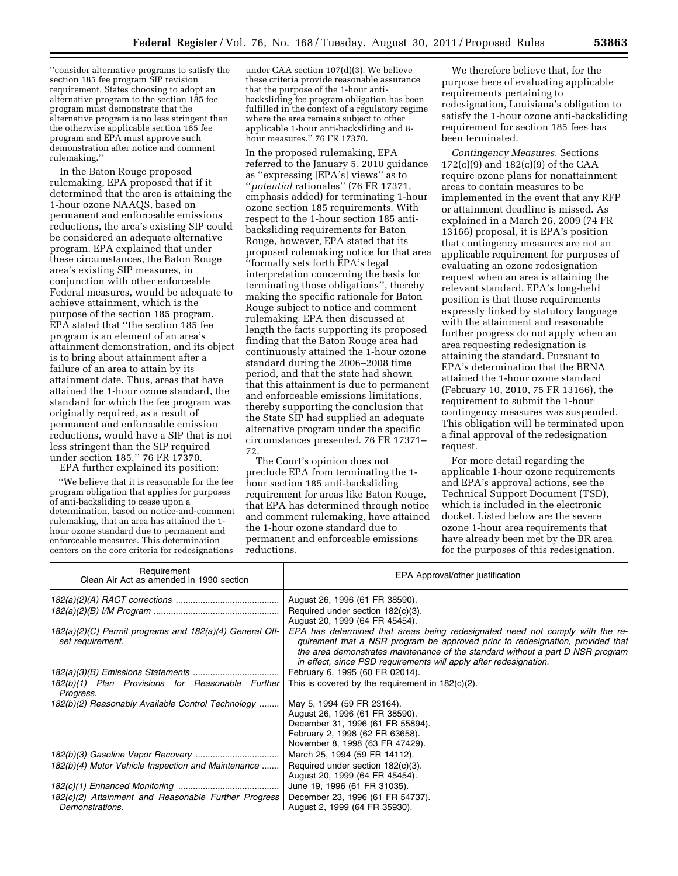''consider alternative programs to satisfy the section 185 fee program SIP revision requirement. States choosing to adopt an alternative program to the section 185 fee program must demonstrate that the alternative program is no less stringent than the otherwise applicable section 185 fee program and EPA must approve such demonstration after notice and comment rulemaking.''

In the Baton Rouge proposed rulemaking, EPA proposed that if it determined that the area is attaining the 1-hour ozone NAAQS, based on permanent and enforceable emissions reductions, the area's existing SIP could be considered an adequate alternative program. EPA explained that under these circumstances, the Baton Rouge area's existing SIP measures, in conjunction with other enforceable Federal measures, would be adequate to achieve attainment, which is the purpose of the section 185 program. EPA stated that ''the section 185 fee program is an element of an area's attainment demonstration, and its object is to bring about attainment after a failure of an area to attain by its attainment date. Thus, areas that have attained the 1-hour ozone standard, the standard for which the fee program was originally required, as a result of permanent and enforceable emission reductions, would have a SIP that is not less stringent than the SIP required under section 185.'' 76 FR 17370.

EPA further explained its position: ''We believe that it is reasonable for the fee program obligation that applies for purposes of anti-backsliding to cease upon a determination, based on notice-and-comment rulemaking, that an area has attained the 1 hour ozone standard due to permanent and

enforceable measures. This determination centers on the core criteria for redesignations under CAA section 107(d)(3). We believe these criteria provide reasonable assurance that the purpose of the 1-hour antibacksliding fee program obligation has been fulfilled in the context of a regulatory regime where the area remains subject to other applicable 1-hour anti-backsliding and 8 hour measures.'' 76 FR 17370.

In the proposed rulemaking, EPA referred to the January 5, 2010 guidance as ''expressing [EPA's] views'' as to ''*potential* rationales'' (76 FR 17371, emphasis added) for terminating 1-hour ozone section 185 requirements. With respect to the 1-hour section 185 antibacksliding requirements for Baton Rouge, however, EPA stated that its proposed rulemaking notice for that area ''formally sets forth EPA's legal interpretation concerning the basis for terminating those obligations'', thereby making the specific rationale for Baton Rouge subject to notice and comment rulemaking. EPA then discussed at length the facts supporting its proposed finding that the Baton Rouge area had continuously attained the 1-hour ozone standard during the 2006–2008 time period, and that the state had shown that this attainment is due to permanent and enforceable emissions limitations, thereby supporting the conclusion that the State SIP had supplied an adequate alternative program under the specific circumstances presented. 76 FR 17371– 72.

The Court's opinion does not preclude EPA from terminating the 1 hour section 185 anti-backsliding requirement for areas like Baton Rouge, that EPA has determined through notice and comment rulemaking, have attained the 1-hour ozone standard due to permanent and enforceable emissions reductions.

We therefore believe that, for the purpose here of evaluating applicable requirements pertaining to redesignation, Louisiana's obligation to satisfy the 1-hour ozone anti-backsliding requirement for section 185 fees has been terminated.

*Contingency Measures.* Sections 172(c)(9) and 182(c)(9) of the CAA require ozone plans for nonattainment areas to contain measures to be implemented in the event that any RFP or attainment deadline is missed. As explained in a March 26, 2009 (74 FR 13166) proposal, it is EPA's position that contingency measures are not an applicable requirement for purposes of evaluating an ozone redesignation request when an area is attaining the relevant standard. EPA's long-held position is that those requirements expressly linked by statutory language with the attainment and reasonable further progress do not apply when an area requesting redesignation is attaining the standard. Pursuant to EPA's determination that the BRNA attained the 1-hour ozone standard (February 10, 2010, 75 FR 13166), the requirement to submit the 1-hour contingency measures was suspended. This obligation will be terminated upon a final approval of the redesignation request.

For more detail regarding the applicable 1-hour ozone requirements and EPA's approval actions, see the Technical Support Document (TSD), which is included in the electronic docket. Listed below are the severe ozone 1-hour area requirements that have already been met by the BR area for the purposes of this redesignation.

| Requirement<br>Clean Air Act as amended in 1990 section                     | EPA Approval/other justification                                                                                                                                                                                                                                                                                       |
|-----------------------------------------------------------------------------|------------------------------------------------------------------------------------------------------------------------------------------------------------------------------------------------------------------------------------------------------------------------------------------------------------------------|
|                                                                             | August 26, 1996 (61 FR 38590).                                                                                                                                                                                                                                                                                         |
|                                                                             | Required under section 182(c)(3).<br>August 20, 1999 (64 FR 45454).                                                                                                                                                                                                                                                    |
| 182(a)(2)(C) Permit programs and 182(a)(4) General Off-<br>set requirement. | EPA has determined that areas being redesignated need not comply with the re-<br>quirement that a NSR program be approved prior to redesignation, provided that<br>the area demonstrates maintenance of the standard without a part D NSR program<br>in effect, since PSD requirements will apply after redesignation. |
|                                                                             | February 6, 1995 (60 FR 02014).                                                                                                                                                                                                                                                                                        |
| 182(b)(1) Plan Provisions for Reasonable Further<br>Progress.               | This is covered by the requirement in $182(c)(2)$ .                                                                                                                                                                                                                                                                    |
| 182(b)(2) Reasonably Available Control Technology                           | May 5, 1994 (59 FR 23164).                                                                                                                                                                                                                                                                                             |
|                                                                             | August 26, 1996 (61 FR 38590).                                                                                                                                                                                                                                                                                         |
|                                                                             | December 31, 1996 (61 FR 55894).                                                                                                                                                                                                                                                                                       |
|                                                                             | February 2, 1998 (62 FR 63658).                                                                                                                                                                                                                                                                                        |
|                                                                             | November 8, 1998 (63 FR 47429).                                                                                                                                                                                                                                                                                        |
|                                                                             | March 25, 1994 (59 FR 14112).                                                                                                                                                                                                                                                                                          |
| 182(b)(4) Motor Vehicle Inspection and Maintenance                          | Required under section 182(c)(3).                                                                                                                                                                                                                                                                                      |
|                                                                             | August 20, 1999 (64 FR 45454).                                                                                                                                                                                                                                                                                         |
|                                                                             | June 19, 1996 (61 FR 31035).                                                                                                                                                                                                                                                                                           |
| 182(c)(2) Attainment and Reasonable Further Progress                        | December 23, 1996 (61 FR 54737).                                                                                                                                                                                                                                                                                       |
| Demonstrations.                                                             | August 2, 1999 (64 FR 35930).                                                                                                                                                                                                                                                                                          |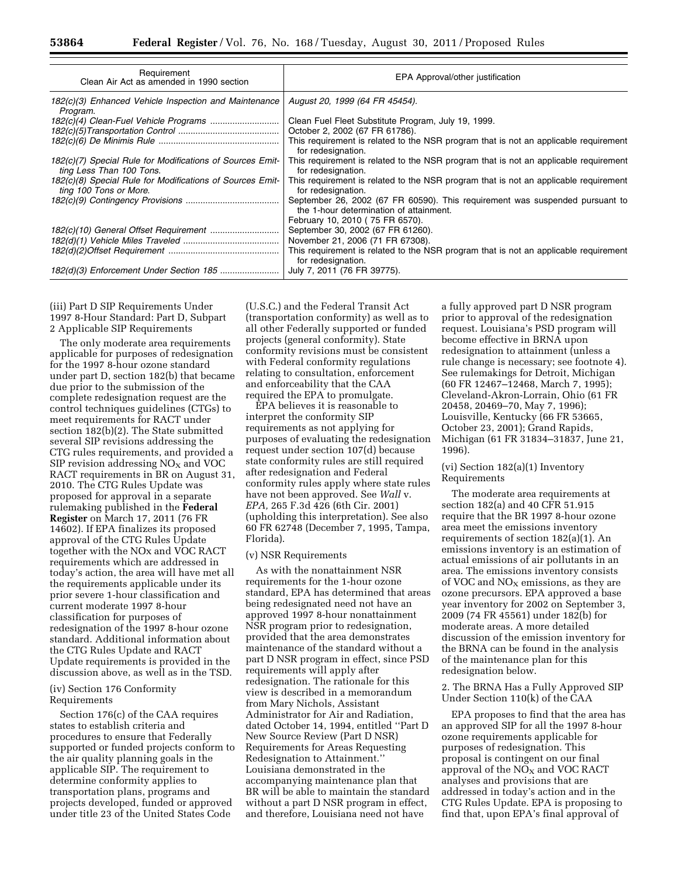| Requirement<br>Clean Air Act as amended in 1990 section                               | EPA Approval/other justification                                                                                        |
|---------------------------------------------------------------------------------------|-------------------------------------------------------------------------------------------------------------------------|
| 182(c)(3) Enhanced Vehicle Inspection and Maintenance<br>Program.                     | August 20, 1999 (64 FR 45454).                                                                                          |
|                                                                                       | Clean Fuel Fleet Substitute Program, July 19, 1999.                                                                     |
|                                                                                       | October 2, 2002 (67 FR 61786).                                                                                          |
|                                                                                       | This requirement is related to the NSR program that is not an applicable requirement<br>for redesignation.              |
| 182(c)(7) Special Rule for Modifications of Sources Emit-<br>ting Less Than 100 Tons. | This requirement is related to the NSR program that is not an applicable requirement<br>for redesignation.              |
| 182(c)(8) Special Rule for Modifications of Sources Emit-<br>ting 100 Tons or More.   | This requirement is related to the NSR program that is not an applicable requirement<br>for redesignation.              |
|                                                                                       | September 26, 2002 (67 FR 60590). This requirement was suspended pursuant to<br>the 1-hour determination of attainment. |
|                                                                                       | February 10, 2010 (75 FR 6570).                                                                                         |
|                                                                                       | September 30, 2002 (67 FR 61260).                                                                                       |
|                                                                                       | November 21, 2006 (71 FR 67308).                                                                                        |
|                                                                                       | This requirement is related to the NSR program that is not an applicable requirement<br>for redesignation.              |
|                                                                                       | July 7, 2011 (76 FR 39775).                                                                                             |

(iii) Part D SIP Requirements Under 1997 8-Hour Standard: Part D, Subpart 2 Applicable SIP Requirements

The only moderate area requirements applicable for purposes of redesignation for the 1997 8-hour ozone standard under part D, section 182(b) that became due prior to the submission of the complete redesignation request are the control techniques guidelines (CTGs) to meet requirements for RACT under section 182(b)(2). The State submitted several SIP revisions addressing the CTG rules requirements, and provided a SIP revision addressing  $NO<sub>X</sub>$  and VOC RACT requirements in BR on August 31, 2010. The CTG Rules Update was proposed for approval in a separate rulemaking published in the **Federal Register** on March 17, 2011 (76 FR 14602). If EPA finalizes its proposed approval of the CTG Rules Update together with the NOx and VOC RACT requirements which are addressed in today's action, the area will have met all the requirements applicable under its prior severe 1-hour classification and current moderate 1997 8-hour classification for purposes of redesignation of the 1997 8-hour ozone standard. Additional information about the CTG Rules Update and RACT Update requirements is provided in the discussion above, as well as in the TSD.

# (iv) Section 176 Conformity Requirements

Section 176(c) of the CAA requires states to establish criteria and procedures to ensure that Federally supported or funded projects conform to the air quality planning goals in the applicable SIP. The requirement to determine conformity applies to transportation plans, programs and projects developed, funded or approved under title 23 of the United States Code

(U.S.C.) and the Federal Transit Act (transportation conformity) as well as to all other Federally supported or funded projects (general conformity). State conformity revisions must be consistent with Federal conformity regulations relating to consultation, enforcement and enforceability that the CAA required the EPA to promulgate.

EPA believes it is reasonable to interpret the conformity SIP requirements as not applying for purposes of evaluating the redesignation request under section 107(d) because state conformity rules are still required after redesignation and Federal conformity rules apply where state rules have not been approved. See *Wall* v. *EPA,* 265 F.3d 426 (6th Cir. 2001) (upholding this interpretation). See also 60 FR 62748 (December 7, 1995, Tampa, Florida).

## (v) NSR Requirements

As with the nonattainment NSR requirements for the 1-hour ozone standard, EPA has determined that areas being redesignated need not have an approved 1997 8-hour nonattainment NSR program prior to redesignation, provided that the area demonstrates maintenance of the standard without a part D NSR program in effect, since PSD requirements will apply after redesignation. The rationale for this view is described in a memorandum from Mary Nichols, Assistant Administrator for Air and Radiation, dated October 14, 1994, entitled ''Part D New Source Review (Part D NSR) Requirements for Areas Requesting Redesignation to Attainment.'' Louisiana demonstrated in the accompanying maintenance plan that BR will be able to maintain the standard without a part D NSR program in effect, and therefore, Louisiana need not have

a fully approved part D NSR program prior to approval of the redesignation request. Louisiana's PSD program will become effective in BRNA upon redesignation to attainment (unless a rule change is necessary; see footnote 4). See rulemakings for Detroit, Michigan (60 FR 12467–12468, March 7, 1995); Cleveland-Akron-Lorrain, Ohio (61 FR 20458, 20469–70, May 7, 1996); Louisville, Kentucky (66 FR 53665, October 23, 2001); Grand Rapids, Michigan (61 FR 31834–31837, June 21, 1996).

#### (vi) Section 182(a)(1) Inventory Requirements

The moderate area requirements at section 182(a) and 40 CFR 51.915 require that the BR 1997 8-hour ozone area meet the emissions inventory requirements of section 182(a)(1). An emissions inventory is an estimation of actual emissions of air pollutants in an area. The emissions inventory consists of VOC and  $NO<sub>x</sub>$  emissions, as they are ozone precursors. EPA approved a base year inventory for 2002 on September 3, 2009 (74 FR 45561) under 182(b) for moderate areas. A more detailed discussion of the emission inventory for the BRNA can be found in the analysis of the maintenance plan for this redesignation below.

2. The BRNA Has a Fully Approved SIP Under Section 110(k) of the CAA

EPA proposes to find that the area has an approved SIP for all the 1997 8-hour ozone requirements applicable for purposes of redesignation. This proposal is contingent on our final approval of the  $NO<sub>X</sub>$  and VOC RACT analyses and provisions that are addressed in today's action and in the CTG Rules Update. EPA is proposing to find that, upon EPA's final approval of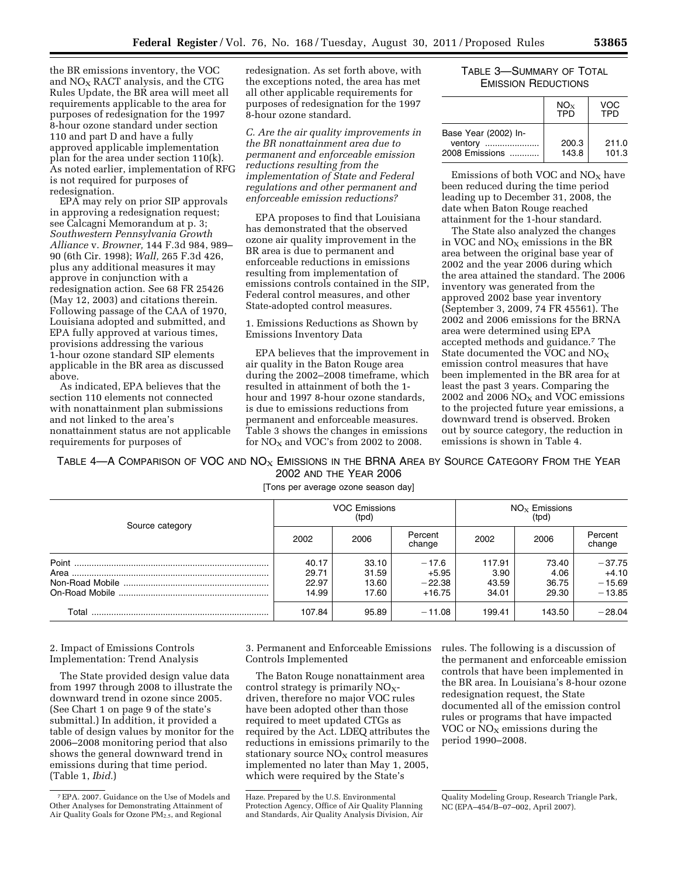the BR emissions inventory, the VOC and  $NO<sub>X</sub>$  RACT analysis, and the CTG Rules Update, the BR area will meet all requirements applicable to the area for purposes of redesignation for the 1997 8-hour ozone standard under section 110 and part D and have a fully approved applicable implementation plan for the area under section 110(k). As noted earlier, implementation of RFG is not required for purposes of redesignation.

EPA may rely on prior SIP approvals in approving a redesignation request; see Calcagni Memorandum at p. 3; *Southwestern Pennsylvania Growth Alliance* v. *Browner,* 144 F.3d 984, 989– 90 (6th Cir. 1998); *Wall,* 265 F.3d 426, plus any additional measures it may approve in conjunction with a redesignation action. See 68 FR 25426 (May 12, 2003) and citations therein. Following passage of the CAA of 1970, Louisiana adopted and submitted, and EPA fully approved at various times, provisions addressing the various 1-hour ozone standard SIP elements applicable in the BR area as discussed above.

As indicated, EPA believes that the section 110 elements not connected with nonattainment plan submissions and not linked to the area's nonattainment status are not applicable requirements for purposes of

redesignation. As set forth above, with the exceptions noted, the area has met all other applicable requirements for purposes of redesignation for the 1997 8-hour ozone standard.

*C. Are the air quality improvements in the BR nonattainment area due to permanent and enforceable emission reductions resulting from the implementation of State and Federal regulations and other permanent and enforceable emission reductions?* 

EPA proposes to find that Louisiana has demonstrated that the observed ozone air quality improvement in the BR area is due to permanent and enforceable reductions in emissions resulting from implementation of emissions controls contained in the SIP, Federal control measures, and other State-adopted control measures.

1. Emissions Reductions as Shown by Emissions Inventory Data

EPA believes that the improvement in air quality in the Baton Rouge area during the 2002–2008 timeframe, which resulted in attainment of both the 1 hour and 1997 8-hour ozone standards, is due to emissions reductions from permanent and enforceable measures. Table 3 shows the changes in emissions for  $NO<sub>X</sub>$  and VOC's from 2002 to 2008.

# TABLE 3—SUMMARY OF TOTAL EMISSION REDUCTIONS

|                                                   | $NO_{X}$<br><b>TPD</b> | VOC<br>TPD     |
|---------------------------------------------------|------------------------|----------------|
| Base Year (2002) In-<br>ventory<br>2008 Emissions | 200.3<br>143.8         | 211.0<br>101.3 |

Emissions of both VOC and  $NO<sub>X</sub>$  have been reduced during the time period leading up to December 31, 2008, the date when Baton Rouge reached attainment for the 1-hour standard.

The State also analyzed the changes in VOC and  $NO<sub>x</sub>$  emissions in the BR area between the original base year of 2002 and the year 2006 during which the area attained the standard. The 2006 inventory was generated from the approved 2002 base year inventory (September 3, 2009, 74 FR 45561). The 2002 and 2006 emissions for the BRNA area were determined using EPA accepted methods and guidance.7 The State documented the VOC and NOX emission control measures that have been implemented in the BR area for at least the past 3 years. Comparing the 2002 and 2006  $NO<sub>X</sub>$  and VOC emissions to the projected future year emissions, a downward trend is observed. Broken out by source category, the reduction in emissions is shown in Table 4.

TABLE 4—A COMPARISON OF VOC AND  $NOS$  EMISSIONS IN THE BRNA AREA BY SOURCE CATEGORY FROM THE YEAR 2002 AND THE YEAR 2006

[Tons per average ozone season day]

| Source category |                                  | <b>VOC Emissions</b><br>(tpd)    |                                            | $NOx$ Emissions<br>(tpd)         |                                 |                                             |  |
|-----------------|----------------------------------|----------------------------------|--------------------------------------------|----------------------------------|---------------------------------|---------------------------------------------|--|
|                 | 2002                             | 2006                             | Percent<br>change                          | 2002                             | 2006                            | Percent<br>change                           |  |
|                 | 40.17<br>29.71<br>22.97<br>14.99 | 33.10<br>31.59<br>13.60<br>17.60 | $-17.6$<br>$+5.95$<br>$-22.38$<br>$+16.75$ | 117.91<br>3.90<br>43.59<br>34.01 | 73.40<br>4.06<br>36.75<br>29.30 | $-37.75$<br>$+4.10$<br>$-15.69$<br>$-13.85$ |  |
| Total           | 107.84                           | 95.89                            | $-11.08$                                   | 199.41                           | 143.50                          | $-28.04$                                    |  |

2. Impact of Emissions Controls Implementation: Trend Analysis

The State provided design value data from 1997 through 2008 to illustrate the downward trend in ozone since 2005. (See Chart 1 on page 9 of the state's submittal.) In addition, it provided a table of design values by monitor for the 2006–2008 monitoring period that also shows the general downward trend in emissions during that time period. (Table 1, *Ibid.*)

3. Permanent and Enforceable Emissions Controls Implemented

The Baton Rouge nonattainment area control strategy is primarily  $NO<sub>X</sub>$ driven, therefore no major VOC rules have been adopted other than those required to meet updated CTGs as required by the Act. LDEQ attributes the reductions in emissions primarily to the stationary source  $NO<sub>x</sub>$  control measures implemented no later than May 1, 2005, which were required by the State's

rules. The following is a discussion of the permanent and enforceable emission controls that have been implemented in the BR area. In Louisiana's 8-hour ozone redesignation request, the State documented all of the emission control rules or programs that have impacted VOC or  $NO<sub>x</sub>$  emissions during the period 1990–2008.

<sup>7</sup>EPA. 2007. Guidance on the Use of Models and Other Analyses for Demonstrating Attainment of Air Quality Goals for Ozone  $PM_{2.5}$ , and Regional

Haze. Prepared by the U.S. Environmental Protection Agency, Office of Air Quality Planning and Standards, Air Quality Analysis Division, Air

Quality Modeling Group, Research Triangle Park, NC (EPA–454/B–07–002, April 2007).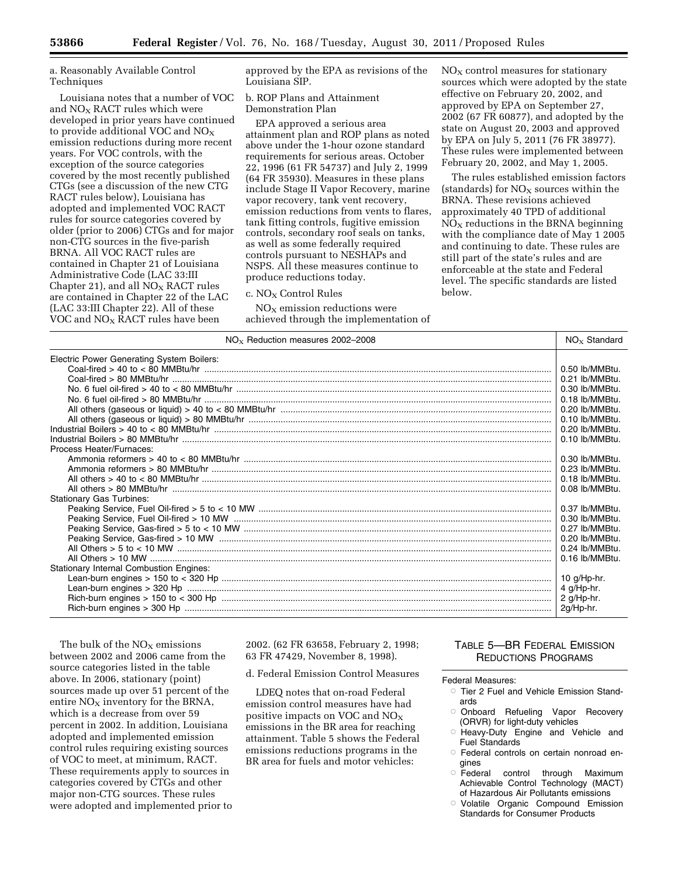a. Reasonably Available Control Techniques

Louisiana notes that a number of VOC and  $NO<sub>X</sub>$  RACT rules which were developed in prior years have continued to provide additional VOC and  $NO<sub>x</sub>$ emission reductions during more recent years. For VOC controls, with the exception of the source categories covered by the most recently published CTGs (see a discussion of the new CTG RACT rules below), Louisiana has adopted and implemented VOC RACT rules for source categories covered by older (prior to 2006) CTGs and for major non-CTG sources in the five-parish BRNA. All VOC RACT rules are contained in Chapter 21 of Louisiana Administrative Code (LAC 33:III Chapter 21), and all  $NO<sub>X</sub> RACT$  rules are contained in Chapter 22 of the LAC (LAC 33:III Chapter 22). All of these VOC and NOX RACT rules have been

approved by the EPA as revisions of the Louisiana SIP.

b. ROP Plans and Attainment Demonstration Plan

EPA approved a serious area attainment plan and ROP plans as noted above under the 1-hour ozone standard requirements for serious areas. October 22, 1996 (61 FR 54737) and July 2, 1999 (64 FR 35930). Measures in these plans include Stage II Vapor Recovery, marine vapor recovery, tank vent recovery, emission reductions from vents to flares, tank fitting controls, fugitive emission controls, secondary roof seals on tanks, as well as some federally required controls pursuant to NESHAPs and NSPS. All these measures continue to produce reductions today.

## $c. NO<sub>x</sub> Control Rules$

 $NO<sub>X</sub>$  emission reductions were achieved through the implementation of  $NO<sub>x</sub>$  control measures for stationary sources which were adopted by the state effective on February 20, 2002, and approved by EPA on September 27, 2002 (67 FR 60877), and adopted by the state on August 20, 2003 and approved by EPA on July 5, 2011 (76 FR 38977). These rules were implemented between February 20, 2002, and May 1, 2005.

The rules established emission factors (standards) for  $NO<sub>X</sub>$  sources within the BRNA. These revisions achieved approximately 40 TPD of additional  $NO<sub>X</sub>$  reductions in the BRNA beginning with the compliance date of May 1 2005 and continuing to date. These rules are still part of the state's rules and are enforceable at the state and Federal level. The specific standards are listed below.

| $NOx$ Reduction measures 2002-2008             | $NOx$ Standard   |
|------------------------------------------------|------------------|
| Electric Power Generating System Boilers:      |                  |
|                                                |                  |
|                                                |                  |
|                                                |                  |
|                                                |                  |
|                                                |                  |
|                                                |                  |
|                                                |                  |
|                                                |                  |
| Process Heater/Furnaces:                       |                  |
|                                                |                  |
|                                                |                  |
|                                                |                  |
|                                                |                  |
| <b>Stationary Gas Turbines:</b>                |                  |
|                                                |                  |
|                                                |                  |
|                                                |                  |
|                                                |                  |
|                                                |                  |
|                                                | l 0.16 lb/MMBtu. |
| <b>Stationary Internal Combustion Engines:</b> |                  |
|                                                |                  |
|                                                | 4 g/Hp-hr.       |
|                                                | $2$ g/Hp-hr.     |
|                                                |                  |

The bulk of the  $NO<sub>X</sub>$  emissions between 2002 and 2006 came from the source categories listed in the table above. In 2006, stationary (point) sources made up over 51 percent of the entire  $NO<sub>X</sub>$  inventory for the BRNA, which is a decrease from over 59 percent in 2002. In addition, Louisiana adopted and implemented emission control rules requiring existing sources of VOC to meet, at minimum, RACT. These requirements apply to sources in categories covered by CTGs and other major non-CTG sources. These rules were adopted and implemented prior to 2002. (62 FR 63658, February 2, 1998; 63 FR 47429, November 8, 1998).

d. Federal Emission Control Measures

LDEQ notes that on-road Federal emission control measures have had positive impacts on VOC and  $NO<sub>X</sub>$ emissions in the BR area for reaching attainment. Table 5 shows the Federal emissions reductions programs in the BR area for fuels and motor vehicles:

# TABLE 5—BR FEDERAL EMISSION REDUCTIONS PROGRAMS

Federal Measures:

- Tier 2 Fuel and Vehicle Emission Standards
- Onboard Refueling Vapor Recovery (ORVR) for light-duty vehicles
- R Heavy-Duty Engine and Vehicle and Fuel Standards
- Æ Federal controls on certain nonroad engines
- Federal control through Maximum Achievable Control Technology (MACT) of Hazardous Air Pollutants emissions
- Æ Volatile Organic Compound Emission Standards for Consumer Products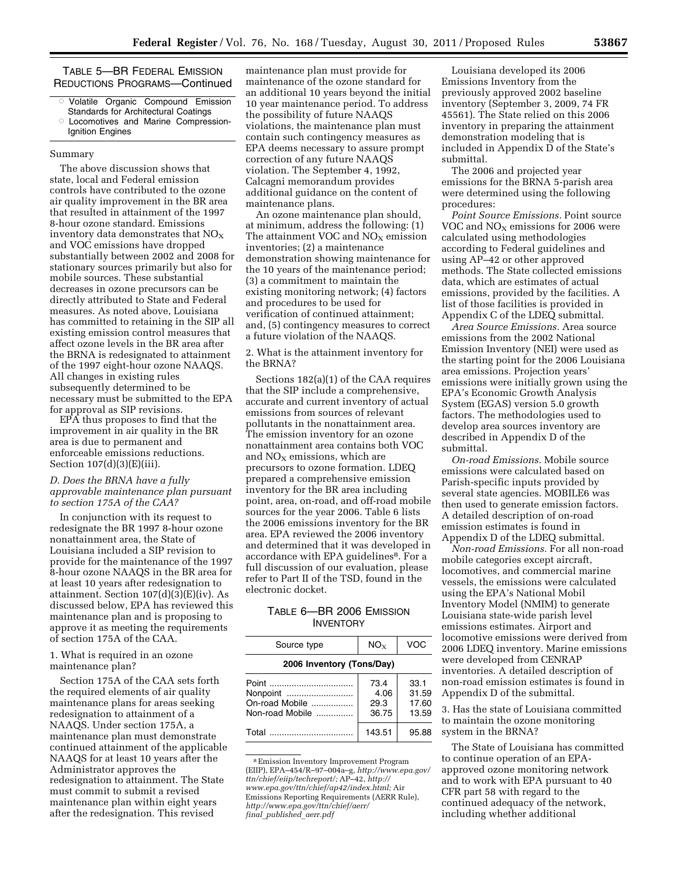TABLE 5—BR FEDERAL EMISSION REDUCTIONS PROGRAMS—Continued

- ÆVolatile Organic Compound Emission
- Standards for Architectural Coatings Æ
- Locomotives and Marine Compression-Ignition Engines

#### Summary

The above discussion shows that state, local and Federal emission controls have contributed to the ozone air quality improvement in the BR area that resulted in attainment of the 1997 8-hour ozone standard. Emissions inventory data demonstrates that  $NO<sub>x</sub>$ and VOC emissions have dropped substantially between 2002 and 2008 for stationary sources primarily but also for mobile sources. These substantial decreases in ozone precursors can be directly attributed to State and Federal measures. As noted above, Louisiana has committed to retaining in the SIP all existing emission control measures that affect ozone levels in the BR area after the BRNA is redesignated to attainment of the 1997 eight-hour ozone NAAQS. All changes in existing rules subsequently determined to be necessary must be submitted to the EPA for approval as SIP revisions.

EPA thus proposes to find that the improvement in air quality in the BR area is due to permanent and enforceable emissions reductions. Section 107(d)(3)(E)(iii).

## *D. Does the BRNA have a fully approvable maintenance plan pursuant to section 175A of the CAA?*

In conjunction with its request to redesignate the BR 1997 8-hour ozone nonattainment area, the State of Louisiana included a SIP revision to provide for the maintenance of the 1997 8-hour ozone NAAQS in the BR area for at least 10 years after redesignation to attainment. Section  $107(d)(3)(E)(iv)$ . As discussed below, EPA has reviewed this maintenance plan and is proposing to approve it as meeting the requirements of section 175A of the CAA.

## 1. What is required in an ozone maintenance plan?

Section 175A of the CAA sets forth the required elements of air quality maintenance plans for areas seeking redesignation to attainment of a NAAQS. Under section 175A, a maintenance plan must demonstrate continued attainment of the applicable NAAQS for at least 10 years after the Administrator approves the redesignation to attainment. The State must commit to submit a revised maintenance plan within eight years after the redesignation. This revised

maintenance plan must provide for maintenance of the ozone standard for an additional 10 years beyond the initial 10 year maintenance period. To address the possibility of future NAAQS violations, the maintenance plan must contain such contingency measures as EPA deems necessary to assure prompt correction of any future NAAQS violation. The September 4, 1992, Calcagni memorandum provides additional guidance on the content of maintenance plans.

An ozone maintenance plan should, at minimum, address the following: (1) The attainment VOC and  $NO<sub>X</sub>$  emission inventories; (2) a maintenance demonstration showing maintenance for the 10 years of the maintenance period; (3) a commitment to maintain the existing monitoring network; (4) factors and procedures to be used for verification of continued attainment; and, (5) contingency measures to correct a future violation of the NAAQS.

2. What is the attainment inventory for the BRNA?

Sections 182(a)(1) of the CAA requires that the SIP include a comprehensive, accurate and current inventory of actual emissions from sources of relevant pollutants in the nonattainment area. The emission inventory for an ozone nonattainment area contains both VOC and  $NO<sub>x</sub>$  emissions, which are precursors to ozone formation. LDEQ prepared a comprehensive emission inventory for the BR area including point, area, on-road, and off-road mobile sources for the year 2006. Table 6 lists the 2006 emissions inventory for the BR area. EPA reviewed the 2006 inventory and determined that it was developed in accordance with EPA guidelines<sup>8</sup>. For a full discussion of our evaluation, please refer to Part II of the TSD, found in the electronic docket.

# TABLE 6—BR 2006 EMISSION **INVENTORY**

| Source type                                            | $NO_{x}$                      | VOC                             |
|--------------------------------------------------------|-------------------------------|---------------------------------|
| 2006 Inventory (Tons/Day)                              |                               |                                 |
| Point<br>Nonpoint<br>On-road Mobile<br>Non-road Mobile | 73.4<br>4.06<br>29.3<br>36.75 | 33.1<br>31.59<br>17.60<br>13.59 |
| Total                                                  | 143.51                        | 95.88                           |

<sup>8</sup>Emission Inventory Improvement Program (EIIP), EPA–454/R–97–004a–g, *[http://www.epa.gov/](http://www.epa.gov/ttn/chief/eiip/techreport/)  [ttn/chief/eiip/techreport/;](http://www.epa.gov/ttn/chief/eiip/techreport/)* AP–42, *[http://](http://www.epa.gov/ttn/chief/ap42/index.html)  [www.epa.gov/ttn/chief/ap42/index.html;](http://www.epa.gov/ttn/chief/ap42/index.html)* Air Emissions Reporting Requirements (AERR Rule), *[http://www.epa.gov/ttn/chief/aerr/](http://www.epa.gov/ttn/chief/aerr/final_published_aerr.pdf)  final*\_*[published](http://www.epa.gov/ttn/chief/aerr/final_published_aerr.pdf)*\_*aerr.pdf* 

Louisiana developed its 2006 Emissions Inventory from the previously approved 2002 baseline inventory (September 3, 2009, 74 FR 45561). The State relied on this 2006 inventory in preparing the attainment demonstration modeling that is included in Appendix D of the State's submittal.

The 2006 and projected year emissions for the BRNA 5-parish area were determined using the following procedures:

*Point Source Emissions.* Point source VOC and  $NO<sub>X</sub>$  emissions for 2006 were calculated using methodologies according to Federal guidelines and using AP–42 or other approved methods. The State collected emissions data, which are estimates of actual emissions, provided by the facilities. A list of those facilities is provided in Appendix C of the LDEQ submittal.

*Area Source Emissions.* Area source emissions from the 2002 National Emission Inventory (NEI) were used as the starting point for the 2006 Louisiana area emissions. Projection years' emissions were initially grown using the EPA's Economic Growth Analysis System (EGAS) version 5.0 growth factors. The methodologies used to develop area sources inventory are described in Appendix D of the submittal.

*On-road Emissions.* Mobile source emissions were calculated based on Parish-specific inputs provided by several state agencies. MOBILE6 was then used to generate emission factors. A detailed description of on-road emission estimates is found in Appendix D of the LDEQ submittal.

*Non-road Emissions.* For all non-road mobile categories except aircraft, locomotives, and commercial marine vessels, the emissions were calculated using the EPA's National Mobil Inventory Model (NMIM) to generate Louisiana state-wide parish level emissions estimates. Airport and locomotive emissions were derived from 2006 LDEQ inventory. Marine emissions were developed from CENRAP inventories. A detailed description of non-road emission estimates is found in Appendix D of the submittal.

3. Has the state of Louisiana committed to maintain the ozone monitoring system in the BRNA?

The State of Louisiana has committed to continue operation of an EPAapproved ozone monitoring network and to work with EPA pursuant to 40 CFR part 58 with regard to the continued adequacy of the network, including whether additional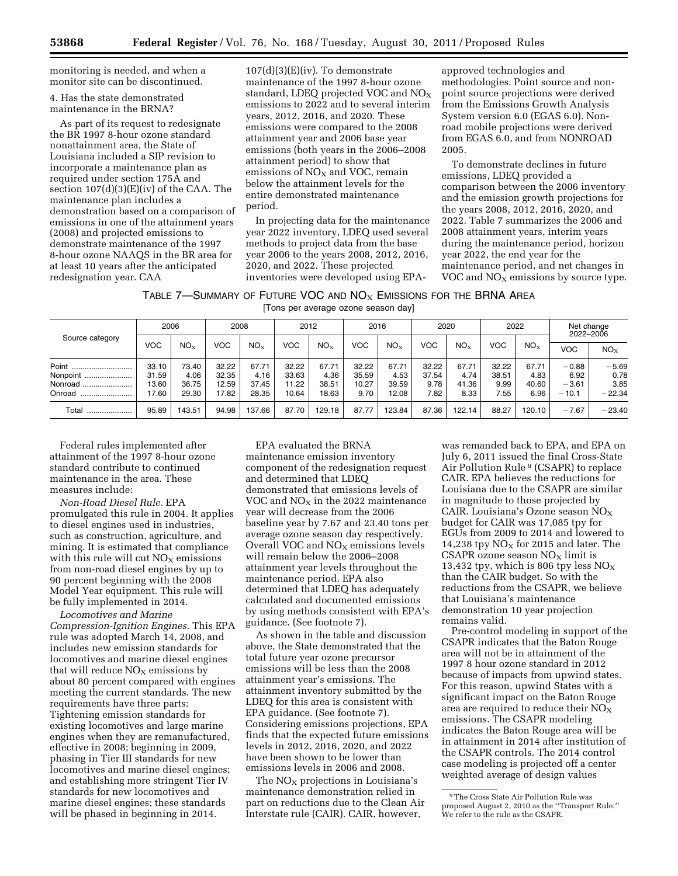monitoring is needed, and when a monitor site can be discontinued.

4. Has the state demonstrated maintenance in the BRNA?

As part of its request to redesignate the BR 1997 8-hour ozone standard nonattainment area, the State of Louisiana included a SIP revision to incorporate a maintenance plan as required under section 175A and section 107(d)(3)(E)(iv) of the CAA. The maintenance plan includes a demonstration based on a comparison of emissions in one of the attainment years (2008) and projected emissions to demonstrate maintenance of the 1997 8-hour ozone NAAQS in the BR area for at least 10 years after the anticipated redesignation year. CAA

107(d)(3)(E)(iv). To demonstrate maintenance of the 1997 8-hour ozone standard, LDEQ projected VOC and  $NO<sub>X</sub>$ emissions to 2022 and to several interim years, 2012, 2016, and 2020. These emissions were compared to the 2008 attainment year and 2006 base year emissions (both years in the 2006–2008 attainment period) to show that emissions of  $NO<sub>x</sub>$  and VOC, remain below the attainment levels for the entire demonstrated maintenance period.

In projecting data for the maintenance year 2022 inventory, LDEQ used several methods to project data from the base year 2006 to the years 2008, 2012, 2016, 2020, and 2022. These projected inventories were developed using EPA-

approved technologies and methodologies. Point source and nonpoint source projections were derived from the Emissions Growth Analysis System version 6.0 (EGAS 6.0). Nonroad mobile projections were derived from EGAS 6.0, and from NONROAD 2005.

To demonstrate declines in future emissions, LDEQ provided a comparison between the 2006 inventory and the emission growth projections for the years 2008, 2012, 2016, 2020, and 2022. Table 7 summarizes the 2006 and 2008 attainment years, interim years during the maintenance period, horizon year 2022, the end year for the maintenance period, and net changes in VOC and  $NO<sub>x</sub>$  emissions by source type.

Table 7—Summary of Future VOC and  $NO<sub>X</sub>$  Emissions for the BRNA Area [Tons per average ozone season day]

|                                         | 2006                             |                                 | 2008                             |                                 |                                  | 2012                            | 2016                            |                                 |                                | 2020                           | 2022                           |                                | Net change<br>2022-2006               |                                     |
|-----------------------------------------|----------------------------------|---------------------------------|----------------------------------|---------------------------------|----------------------------------|---------------------------------|---------------------------------|---------------------------------|--------------------------------|--------------------------------|--------------------------------|--------------------------------|---------------------------------------|-------------------------------------|
| Source category                         | VOC                              | $NO_{X}$                        | <b>VOC</b>                       | NO <sub>x</sub>                 | <b>VOC</b>                       | NO <sub>x</sub>                 | <b>VOC</b>                      | NO <sub>x</sub>                 | <b>VOC</b>                     | $NO_{X}$                       | <b>VOC</b>                     | NO <sub>x</sub>                | <b>VOC</b>                            | NO <sub>x</sub>                     |
| Point<br>Nonpoint<br>Nonroad.<br>Onroad | 33.10<br>31.59<br>13.60<br>17.60 | 73.40<br>4.06<br>36.75<br>29.30 | 32.22<br>32.35<br>12.59<br>17.82 | 67.71<br>4.16<br>37.45<br>28.35 | 32.22<br>33.63<br>11.22<br>10.64 | 67.71<br>4.36<br>38.51<br>18.63 | 32.22<br>35.59<br>10.27<br>9.70 | 67.71<br>4.53<br>39.59<br>12.08 | 32.22<br>37.54<br>9.78<br>7.82 | 67.71<br>4.74<br>41.36<br>8.33 | 32.22<br>38.51<br>9.99<br>7.55 | 67.71<br>4.83<br>40.60<br>6.96 | $-0.88$<br>6.92<br>$-3.61$<br>$-10.1$ | $-5.69$<br>0.78<br>3.85<br>$-22.34$ |
| Total                                   | 95.89                            | 143.51                          | 94.98                            | 137.66                          | 87.70                            | 129.18                          | 87.77                           | 123.84                          | 87.36                          | 122.14                         | 88.27                          | 120.10                         | $-7.67$                               | $-23.40$                            |

Federal rules implemented after attainment of the 1997 8-hour ozone standard contribute to continued maintenance in the area. These measures include:

*Non-Road Diesel Rule.* EPA promulgated this rule in 2004. It applies to diesel engines used in industries, such as construction, agriculture, and mining. It is estimated that compliance with this rule will cut  $NO<sub>X</sub>$  emissions from non-road diesel engines by up to 90 percent beginning with the 2008 Model Year equipment. This rule will be fully implemented in 2014.

*Locomotives and Marine Compression-Ignition Engines.* This EPA rule was adopted March 14, 2008, and includes new emission standards for locomotives and marine diesel engines that will reduce  $NO<sub>x</sub>$  emissions by about 80 percent compared with engines meeting the current standards. The new requirements have three parts: Tightening emission standards for existing locomotives and large marine engines when they are remanufactured, effective in 2008; beginning in 2009, phasing in Tier III standards for new locomotives and marine diesel engines; and establishing more stringent Tier IV standards for new locomotives and marine diesel engines; these standards will be phased in beginning in 2014.

EPA evaluated the BRNA maintenance emission inventory component of the redesignation request and determined that LDEQ demonstrated that emissions levels of VOC and  $NO<sub>x</sub>$  in the 2022 maintenance year will decrease from the 2006 baseline year by 7.67 and 23.40 tons per average ozone season day respectively. Overall VOC and  $NO<sub>X</sub>$  emissions levels will remain below the 2006–2008 attainment year levels throughout the maintenance period. EPA also determined that LDEQ has adequately calculated and documented emissions by using methods consistent with EPA's guidance. (See footnote 7).

As shown in the table and discussion above, the State demonstrated that the total future year ozone precursor emissions will be less than the 2008 attainment year's emissions. The attainment inventory submitted by the LDEQ for this area is consistent with EPA guidance. (See footnote 7). Considering emissions projections, EPA finds that the expected future emissions levels in 2012, 2016, 2020, and 2022 have been shown to be lower than emissions levels in 2006 and 2008.

The  $NO_X$  projections in Louisiana's maintenance demonstration relied in part on reductions due to the Clean Air Interstate rule (CAIR). CAIR, however,

was remanded back to EPA, and EPA on July 6, 2011 issued the final Cross-State Air Pollution Rule 9 (CSAPR) to replace CAIR. EPA believes the reductions for Louisiana due to the CSAPR are similar in magnitude to those projected by CAIR. Louisiana's Ozone season  $NO<sub>x</sub>$ budget for CAIR was 17,085 tpy for EGUs from 2009 to 2014 and lowered to 14,238 tpy  $NO<sub>x</sub>$  for 2015 and later. The CSAPR ozone season  $NO<sub>x</sub>$  limit is 13,432 tpy, which is 806 tpy less  $NO<sub>X</sub>$ than the CAIR budget. So with the reductions from the CSAPR, we believe that Louisiana's maintenance demonstration 10 year projection remains valid.

Pre-control modeling in support of the CSAPR indicates that the Baton Rouge area will not be in attainment of the 1997 8 hour ozone standard in 2012 because of impacts from upwind states. For this reason, upwind States with a significant impact on the Baton Rouge area are required to reduce their  $NO<sub>x</sub>$ emissions. The CSAPR modeling indicates the Baton Rouge area will be in attainment in 2014 after institution of the CSAPR controls. The 2014 control case modeling is projected off a center weighted average of design values

<sup>9</sup>The Cross State Air Pollution Rule was proposed August 2, 2010 as the ''Transport Rule.'' We refer to the rule as the CSAPR.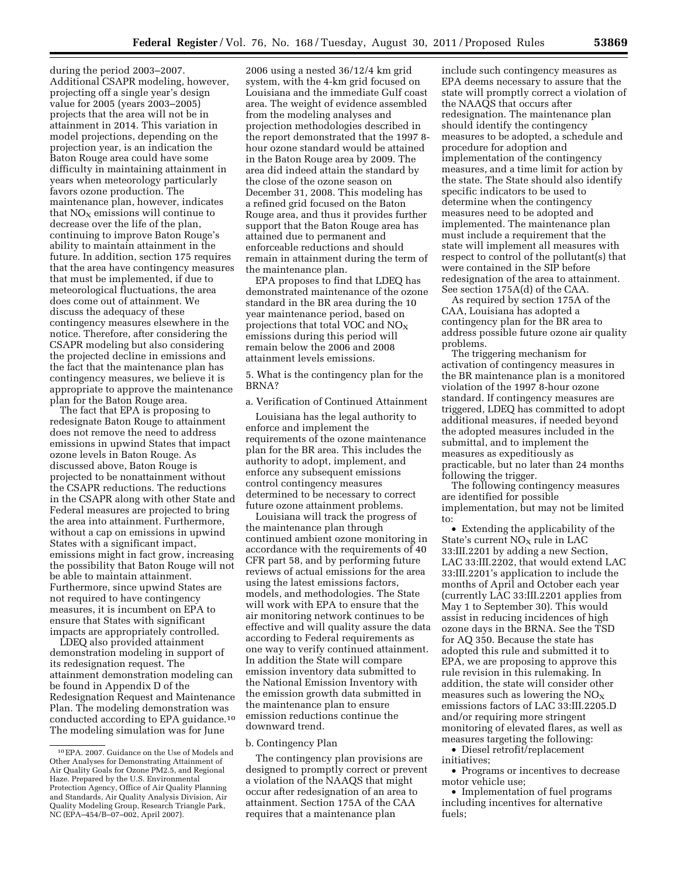during the period 2003–2007. Additional CSAPR modeling, however, projecting off a single year's design value for 2005 (years 2003–2005) projects that the area will not be in attainment in 2014. This variation in model projections, depending on the projection year, is an indication the Baton Rouge area could have some difficulty in maintaining attainment in years when meteorology particularly favors ozone production. The maintenance plan, however, indicates that  $NO<sub>x</sub>$  emissions will continue to decrease over the life of the plan, continuing to improve Baton Rouge's ability to maintain attainment in the future. In addition, section 175 requires that the area have contingency measures that must be implemented, if due to meteorological fluctuations, the area does come out of attainment. We discuss the adequacy of these contingency measures elsewhere in the notice. Therefore, after considering the CSAPR modeling but also considering the projected decline in emissions and the fact that the maintenance plan has contingency measures, we believe it is appropriate to approve the maintenance plan for the Baton Rouge area.

The fact that EPA is proposing to redesignate Baton Rouge to attainment does not remove the need to address emissions in upwind States that impact ozone levels in Baton Rouge. As discussed above, Baton Rouge is projected to be nonattainment without the CSAPR reductions. The reductions in the CSAPR along with other State and Federal measures are projected to bring the area into attainment. Furthermore, without a cap on emissions in upwind States with a significant impact, emissions might in fact grow, increasing the possibility that Baton Rouge will not be able to maintain attainment. Furthermore, since upwind States are not required to have contingency measures, it is incumbent on EPA to ensure that States with significant impacts are appropriately controlled.

LDEQ also provided attainment demonstration modeling in support of its redesignation request. The attainment demonstration modeling can be found in Appendix D of the Redesignation Request and Maintenance Plan. The modeling demonstration was conducted according to EPA guidance.10 The modeling simulation was for June

2006 using a nested 36/12/4 km grid system, with the 4-km grid focused on Louisiana and the immediate Gulf coast area. The weight of evidence assembled from the modeling analyses and projection methodologies described in the report demonstrated that the 1997 8 hour ozone standard would be attained in the Baton Rouge area by 2009. The area did indeed attain the standard by the close of the ozone season on December 31, 2008. This modeling has a refined grid focused on the Baton Rouge area, and thus it provides further support that the Baton Rouge area has attained due to permanent and enforceable reductions and should remain in attainment during the term of the maintenance plan.

EPA proposes to find that LDEQ has demonstrated maintenance of the ozone standard in the BR area during the 10 year maintenance period, based on projections that total VOC and  $NO<sub>X</sub>$ emissions during this period will remain below the 2006 and 2008 attainment levels emissions.

5. What is the contingency plan for the BRNA?

a. Verification of Continued Attainment

Louisiana has the legal authority to enforce and implement the requirements of the ozone maintenance plan for the BR area. This includes the authority to adopt, implement, and enforce any subsequent emissions control contingency measures determined to be necessary to correct future ozone attainment problems.

Louisiana will track the progress of the maintenance plan through continued ambient ozone monitoring in accordance with the requirements of 40 CFR part 58, and by performing future reviews of actual emissions for the area using the latest emissions factors, models, and methodologies. The State will work with EPA to ensure that the air monitoring network continues to be effective and will quality assure the data according to Federal requirements as one way to verify continued attainment. In addition the State will compare emission inventory data submitted to the National Emission Inventory with the emission growth data submitted in the maintenance plan to ensure emission reductions continue the downward trend.

b. Contingency Plan

The contingency plan provisions are designed to promptly correct or prevent a violation of the NAAQS that might occur after redesignation of an area to attainment. Section 175A of the CAA requires that a maintenance plan

include such contingency measures as EPA deems necessary to assure that the state will promptly correct a violation of the NAAQS that occurs after redesignation. The maintenance plan should identify the contingency measures to be adopted, a schedule and procedure for adoption and implementation of the contingency measures, and a time limit for action by the state. The State should also identify specific indicators to be used to determine when the contingency measures need to be adopted and implemented. The maintenance plan must include a requirement that the state will implement all measures with respect to control of the pollutant(s) that were contained in the SIP before redesignation of the area to attainment. See section 175A(d) of the CAA.

As required by section 175A of the CAA, Louisiana has adopted a contingency plan for the BR area to address possible future ozone air quality problems.

The triggering mechanism for activation of contingency measures in the BR maintenance plan is a monitored violation of the 1997 8-hour ozone standard. If contingency measures are triggered, LDEQ has committed to adopt additional measures, if needed beyond the adopted measures included in the submittal, and to implement the measures as expeditiously as practicable, but no later than 24 months following the trigger.

The following contingency measures are identified for possible implementation, but may not be limited to:

• Extending the applicability of the State's current  $NO<sub>X</sub>$  rule in LAC 33:III.2201 by adding a new Section, LAC 33:III.2202, that would extend LAC 33:III.2201's application to include the months of April and October each year (currently LAC 33:III.2201 applies from May 1 to September 30). This would assist in reducing incidences of high ozone days in the BRNA. See the TSD for AQ 350. Because the state has adopted this rule and submitted it to EPA, we are proposing to approve this rule revision in this rulemaking. In addition, the state will consider other measures such as lowering the  $NO<sub>x</sub>$ emissions factors of LAC 33:III.2205.D and/or requiring more stringent monitoring of elevated flares, as well as measures targeting the following:

• Diesel retrofit/replacement initiatives;

• Programs or incentives to decrease motor vehicle use;

• Implementation of fuel programs including incentives for alternative fuels;

<sup>10</sup>EPA. 2007. Guidance on the Use of Models and Other Analyses for Demonstrating Attainment of Air Quality Goals for Ozone PM2.5, and Regional Haze. Prepared by the U.S. Environmental Protection Agency, Office of Air Quality Planning and Standards, Air Quality Analysis Division, Air Quality Modeling Group, Research Triangle Park, NC (EPA–454/B–07–002, April 2007).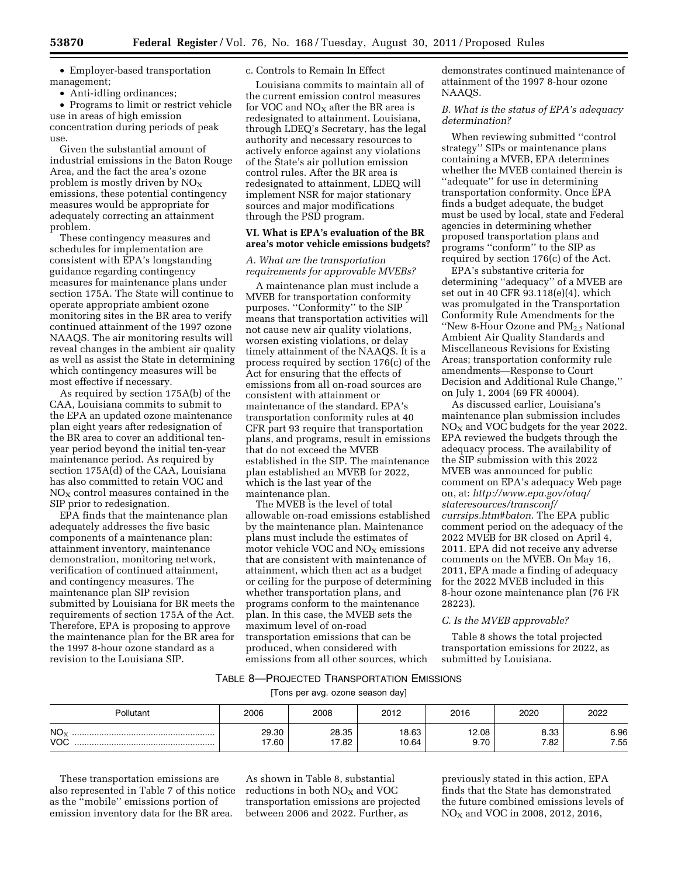• Employer-based transportation management;

• Anti-idling ordinances;

• Programs to limit or restrict vehicle use in areas of high emission concentration during periods of peak use.

Given the substantial amount of industrial emissions in the Baton Rouge Area, and the fact the area's ozone problem is mostly driven by  $NO<sub>x</sub>$ emissions, these potential contingency measures would be appropriate for adequately correcting an attainment problem.

These contingency measures and schedules for implementation are consistent with EPA's longstanding guidance regarding contingency measures for maintenance plans under section 175A. The State will continue to operate appropriate ambient ozone monitoring sites in the BR area to verify continued attainment of the 1997 ozone NAAQS. The air monitoring results will reveal changes in the ambient air quality as well as assist the State in determining which contingency measures will be most effective if necessary.

As required by section 175A(b) of the CAA, Louisiana commits to submit to the EPA an updated ozone maintenance plan eight years after redesignation of the BR area to cover an additional tenyear period beyond the initial ten-year maintenance period. As required by section 175A(d) of the CAA, Louisiana has also committed to retain VOC and  $NO<sub>X</sub>$  control measures contained in the SIP prior to redesignation.

EPA finds that the maintenance plan adequately addresses the five basic components of a maintenance plan: attainment inventory, maintenance demonstration, monitoring network, verification of continued attainment, and contingency measures. The maintenance plan SIP revision submitted by Louisiana for BR meets the requirements of section 175A of the Act. Therefore, EPA is proposing to approve the maintenance plan for the BR area for the 1997 8-hour ozone standard as a revision to the Louisiana SIP.

#### c. Controls to Remain In Effect

Louisiana commits to maintain all of the current emission control measures for VOC and  $NO<sub>X</sub>$  after the BR area is redesignated to attainment. Louisiana, through LDEQ's Secretary, has the legal authority and necessary resources to actively enforce against any violations of the State's air pollution emission control rules. After the BR area is redesignated to attainment, LDEQ will implement NSR for major stationary sources and major modifications through the PSD program.

#### **VI. What is EPA's evaluation of the BR area's motor vehicle emissions budgets?**

## *A. What are the transportation requirements for approvable MVEBs?*

A maintenance plan must include a MVEB for transportation conformity purposes. ''Conformity'' to the SIP means that transportation activities will not cause new air quality violations, worsen existing violations, or delay timely attainment of the NAAQS. It is a process required by section 176(c) of the Act for ensuring that the effects of emissions from all on-road sources are consistent with attainment or maintenance of the standard. EPA's transportation conformity rules at 40 CFR part 93 require that transportation plans, and programs, result in emissions that do not exceed the MVEB established in the SIP. The maintenance plan established an MVEB for 2022, which is the last year of the maintenance plan.

The MVEB is the level of total allowable on-road emissions established by the maintenance plan. Maintenance plans must include the estimates of motor vehicle VOC and  $NO<sub>X</sub>$  emissions that are consistent with maintenance of attainment, which then act as a budget or ceiling for the purpose of determining whether transportation plans, and programs conform to the maintenance plan. In this case, the MVEB sets the maximum level of on-road transportation emissions that can be produced, when considered with emissions from all other sources, which

demonstrates continued maintenance of attainment of the 1997 8-hour ozone NAAQS.

*B. What is the status of EPA's adequacy determination?* 

When reviewing submitted ''control strategy'' SIPs or maintenance plans containing a MVEB, EPA determines whether the MVEB contained therein is ''adequate'' for use in determining transportation conformity. Once EPA finds a budget adequate, the budget must be used by local, state and Federal agencies in determining whether proposed transportation plans and programs ''conform'' to the SIP as required by section 176(c) of the Act.

EPA's substantive criteria for determining ''adequacy'' of a MVEB are set out in 40 CFR 93.118(e)(4), which was promulgated in the Transportation Conformity Rule Amendments for the "New 8-Hour Ozone and PM<sub>2.5</sub> National Ambient Air Quality Standards and Miscellaneous Revisions for Existing Areas; transportation conformity rule amendments—Response to Court Decision and Additional Rule Change,'' on July 1, 2004 (69 FR 40004).

As discussed earlier, Louisiana's maintenance plan submission includes  $NO<sub>X</sub>$  and VOC budgets for the year 2022. EPA reviewed the budgets through the adequacy process. The availability of the SIP submission with this 2022 MVEB was announced for public comment on EPA's adequacy Web page on, at: *[http://www.epa.gov/otaq/](http://www.epa.gov/otaq/stateresources/transconf/currsips.htm#baton) [stateresources/transconf/](http://www.epa.gov/otaq/stateresources/transconf/currsips.htm#baton) [currsips.htm#baton.](http://www.epa.gov/otaq/stateresources/transconf/currsips.htm#baton)* The EPA public comment period on the adequacy of the 2022 MVEB for BR closed on April 4, 2011. EPA did not receive any adverse comments on the MVEB. On May 16, 2011, EPA made a finding of adequacy for the 2022 MVEB included in this 8-hour ozone maintenance plan (76 FR 28223).

# *C. Is the MVEB approvable?*

Table 8 shows the total projected transportation emissions for 2022, as submitted by Louisiana.

# TABLE 8—PROJECTED TRANSPORTATION EMISSIONS

[Tons per avg. ozone season day]

| <b>Pollutant</b>              | 2006           | 2008           | 2012           | 2016          | 2020         | 2022         |
|-------------------------------|----------------|----------------|----------------|---------------|--------------|--------------|
| NO <sub>x</sub><br><b>VOC</b> | 29.30<br>17.60 | 28.35<br>17.82 | 18.63<br>10.64 | 12.08<br>9.70 | 8.33<br>7.82 | 6.96<br>7.55 |

These transportation emissions are also represented in Table 7 of this notice as the ''mobile'' emissions portion of emission inventory data for the BR area.

As shown in Table 8, substantial reductions in both  $NO<sub>X</sub>$  and  $VOC$ transportation emissions are projected between 2006 and 2022. Further, as

previously stated in this action, EPA finds that the State has demonstrated the future combined emissions levels of  $NO<sub>X</sub>$  and VOC in 2008, 2012, 2016,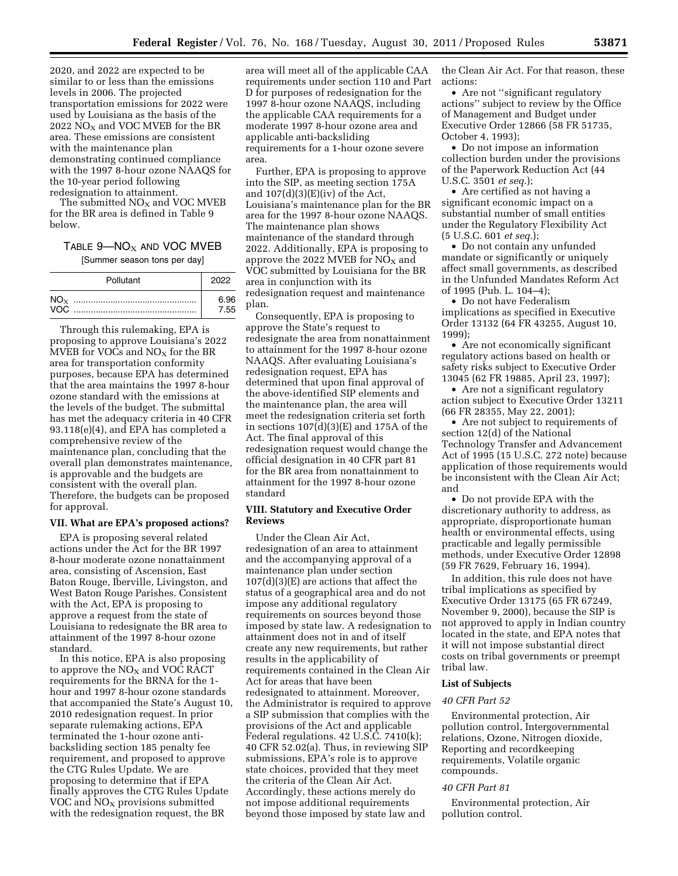2020, and 2022 are expected to be similar to or less than the emissions levels in 2006. The projected transportation emissions for 2022 were used by Louisiana as the basis of the 2022  $\overline{NO_x}$  and VOC MVEB for the BR area. These emissions are consistent with the maintenance plan demonstrating continued compliance with the 1997 8-hour ozone NAAQS for the 10-year period following redesignation to attainment.

The submitted  $NO<sub>X</sub>$  and VOC MVEB for the BR area is defined in Table 9 below.

# TABLE  $9 - NO_X$  AND VOC MVEB

[Summer season tons per day]

|      | Pollutant | 2022         |
|------|-----------|--------------|
| VOC. |           | A 96<br>7.55 |

Through this rulemaking, EPA is proposing to approve Louisiana's 2022 MVEB for VOCs and  $NO<sub>x</sub>$  for the BR area for transportation conformity purposes, because EPA has determined that the area maintains the 1997 8-hour ozone standard with the emissions at the levels of the budget. The submittal has met the adequacy criteria in 40 CFR 93.118(e)(4), and EPA has completed a comprehensive review of the maintenance plan, concluding that the overall plan demonstrates maintenance, is approvable and the budgets are consistent with the overall plan. Therefore, the budgets can be proposed for approval.

## **VII. What are EPA's proposed actions?**

EPA is proposing several related actions under the Act for the BR 1997 8-hour moderate ozone nonattainment area, consisting of Ascension, East Baton Rouge, Iberville, Livingston, and West Baton Rouge Parishes. Consistent with the Act, EPA is proposing to approve a request from the state of Louisiana to redesignate the BR area to attainment of the 1997 8-hour ozone standard.

In this notice, EPA is also proposing to approve the  $NO<sub>X</sub>$  and VOC RACT requirements for the BRNA for the 1 hour and 1997 8-hour ozone standards that accompanied the State's August 10, 2010 redesignation request. In prior separate rulemaking actions, EPA terminated the 1-hour ozone antibacksliding section 185 penalty fee requirement, and proposed to approve the CTG Rules Update. We are proposing to determine that if EPA finally approves the CTG Rules Update VOC and  $NO<sub>X</sub>$  provisions submitted with the redesignation request, the BR

area will meet all of the applicable CAA requirements under section 110 and Part D for purposes of redesignation for the 1997 8-hour ozone NAAQS, including the applicable CAA requirements for a moderate 1997 8-hour ozone area and applicable anti-backsliding requirements for a 1-hour ozone severe area.

Further, EPA is proposing to approve into the SIP, as meeting section 175A and  $107(d)(3)(E)(iv)$  of the Act, Louisiana's maintenance plan for the BR area for the 1997 8-hour ozone NAAQS. The maintenance plan shows maintenance of the standard through 2022. Additionally, EPA is proposing to approve the 2022 MVEB for  $NO<sub>X</sub>$  and VOC submitted by Louisiana for the BR area in conjunction with its redesignation request and maintenance plan.

Consequently, EPA is proposing to approve the State's request to redesignate the area from nonattainment to attainment for the 1997 8-hour ozone NAAQS. After evaluating Louisiana's redesignation request, EPA has determined that upon final approval of the above-identified SIP elements and the maintenance plan, the area will meet the redesignation criteria set forth in sections  $107(d)(3)(E)$  and 175A of the Act. The final approval of this redesignation request would change the official designation in 40 CFR part 81 for the BR area from nonattainment to attainment for the 1997 8-hour ozone standard

### **VIII. Statutory and Executive Order Reviews**

Under the Clean Air Act, redesignation of an area to attainment and the accompanying approval of a maintenance plan under section 107(d)(3)(E) are actions that affect the status of a geographical area and do not impose any additional regulatory requirements on sources beyond those imposed by state law. A redesignation to attainment does not in and of itself create any new requirements, but rather results in the applicability of requirements contained in the Clean Air Act for areas that have been redesignated to attainment. Moreover, the Administrator is required to approve a SIP submission that complies with the provisions of the Act and applicable Federal regulations. 42 U.S.C. 7410(k); 40 CFR 52.02(a). Thus, in reviewing SIP submissions, EPA's role is to approve state choices, provided that they meet the criteria of the Clean Air Act. Accordingly, these actions merely do not impose additional requirements beyond those imposed by state law and

the Clean Air Act. For that reason, these actions:

• Are not "significant regulatory actions'' subject to review by the Office of Management and Budget under Executive Order 12866 (58 FR 51735, October 4, 1993);

• Do not impose an information collection burden under the provisions of the Paperwork Reduction Act (44 U.S.C. 3501 *et seq.*);

• Are certified as not having a significant economic impact on a substantial number of small entities under the Regulatory Flexibility Act (5 U.S.C. 601 *et seq.*);

• Do not contain any unfunded mandate or significantly or uniquely affect small governments, as described in the Unfunded Mandates Reform Act of 1995 (Pub. L. 104–4);

• Do not have Federalism implications as specified in Executive Order 13132 (64 FR 43255, August 10, 1999);

• Are not economically significant regulatory actions based on health or safety risks subject to Executive Order 13045 (62 FR 19885, April 23, 1997);

• Are not a significant regulatory action subject to Executive Order 13211 (66 FR 28355, May 22, 2001);

• Are not subject to requirements of section 12(d) of the National Technology Transfer and Advancement Act of 1995 (15 U.S.C. 272 note) because application of those requirements would be inconsistent with the Clean Air Act; and

• Do not provide EPA with the discretionary authority to address, as appropriate, disproportionate human health or environmental effects, using practicable and legally permissible methods, under Executive Order 12898 (59 FR 7629, February 16, 1994).

In addition, this rule does not have tribal implications as specified by Executive Order 13175 (65 FR 67249, November 9, 2000), because the SIP is not approved to apply in Indian country located in the state, and EPA notes that it will not impose substantial direct costs on tribal governments or preempt tribal law.

#### **List of Subjects**

#### *40 CFR Part 52*

Environmental protection, Air pollution control, Intergovernmental relations, Ozone, Nitrogen dioxide, Reporting and recordkeeping requirements, Volatile organic compounds.

#### *40 CFR Part 81*

Environmental protection, Air pollution control.